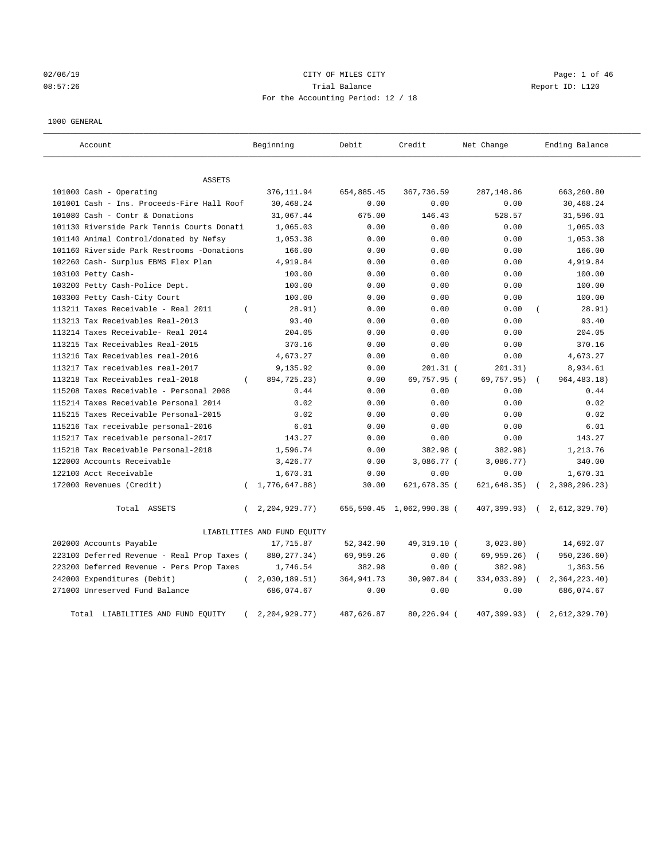02/06/19 Page: 1 of 46 08:57:26 Trial Balance Report ID: L120 For the Accounting Period: 12 / 18

### 1000 GENERAL

| Account                                     |          | Beginning                   | Debit      | Credit                    | Net Change   |            | Ending Balance |
|---------------------------------------------|----------|-----------------------------|------------|---------------------------|--------------|------------|----------------|
| ASSETS                                      |          |                             |            |                           |              |            |                |
| 101000 Cash - Operating                     |          | 376, 111.94                 | 654,885.45 | 367,736.59                | 287,148.86   |            | 663,260.80     |
| 101001 Cash - Ins. Proceeds-Fire Hall Roof  |          | 30,468.24                   | 0.00       | 0.00                      | 0.00         |            | 30,468.24      |
| 101080 Cash - Contr & Donations             |          | 31,067.44                   | 675.00     | 146.43                    | 528.57       |            | 31,596.01      |
| 101130 Riverside Park Tennis Courts Donati  |          | 1,065.03                    | 0.00       | 0.00                      | 0.00         |            | 1,065.03       |
| 101140 Animal Control/donated by Nefsy      |          | 1,053.38                    | 0.00       | 0.00                      | 0.00         |            | 1,053.38       |
| 101160 Riverside Park Restrooms -Donations  |          | 166.00                      | 0.00       | 0.00                      | 0.00         |            | 166.00         |
| 102260 Cash- Surplus EBMS Flex Plan         |          | 4,919.84                    | 0.00       | 0.00                      | 0.00         |            | 4,919.84       |
| 103100 Petty Cash-                          |          | 100.00                      | 0.00       | 0.00                      | 0.00         |            | 100.00         |
| 103200 Petty Cash-Police Dept.              |          | 100.00                      | 0.00       | 0.00                      | 0.00         |            | 100.00         |
| 103300 Petty Cash-City Court                |          | 100.00                      | 0.00       | 0.00                      | 0.00         |            | 100.00         |
| 113211 Taxes Receivable - Real 2011         | $\left($ | 28.91)                      | 0.00       | 0.00                      | 0.00         |            | 28.91)         |
| 113213 Tax Receivables Real-2013            |          | 93.40                       | 0.00       | 0.00                      | 0.00         |            | 93.40          |
| 113214 Taxes Receivable- Real 2014          |          | 204.05                      | 0.00       | 0.00                      | 0.00         |            | 204.05         |
| 113215 Tax Receivables Real-2015            |          | 370.16                      | 0.00       | 0.00                      | 0.00         |            | 370.16         |
| 113216 Tax Receivables real-2016            |          | 4,673.27                    | 0.00       | 0.00                      | 0.00         |            | 4,673.27       |
| 113217 Tax receivables real-2017            |          | 9,135.92                    | 0.00       | $201.31$ (                | 201.31)      |            | 8,934.61       |
| 113218 Tax Receivables real-2018            | $\left($ | 894,725.23)                 | 0.00       | 69,757.95 (               | 69,757.95)   | $\sqrt{2}$ | 964, 483. 18)  |
| 115208 Taxes Receivable - Personal 2008     |          | 0.44                        | 0.00       | 0.00                      | 0.00         |            | 0.44           |
| 115214 Taxes Receivable Personal 2014       |          | 0.02                        | 0.00       | 0.00                      | 0.00         |            | 0.02           |
| 115215 Taxes Receivable Personal-2015       |          | 0.02                        | 0.00       | 0.00                      | 0.00         |            | 0.02           |
| 115216 Tax receivable personal-2016         |          | 6.01                        | 0.00       | 0.00                      | 0.00         |            | 6.01           |
| 115217 Tax receivable personal-2017         |          | 143.27                      | 0.00       | 0.00                      | 0.00         |            | 143.27         |
| 115218 Tax Receivable Personal-2018         |          | 1,596.74                    | 0.00       | 382.98 (                  | 382.98)      |            | 1,213.76       |
| 122000 Accounts Receivable                  |          | 3,426.77                    | 0.00       | 3,086.77 (                | 3,086.77)    |            | 340.00         |
| 122100 Acct Receivable                      |          | 1,670.31                    | 0.00       | 0.00                      | 0.00         |            | 1,670.31       |
| 172000 Revenues (Credit)                    | $\left($ | 1,776,647.88)               | 30.00      | 621,678.35 (              | 621, 648.35) |            | 2,398,296.23   |
| Total ASSETS                                | $\left($ | 2, 204, 929. 77)            |            | 655,590.45 1,062,990.38 ( | 407,399.93)  | $\sqrt{2}$ | 2,612,329.70)  |
|                                             |          | LIABILITIES AND FUND EQUITY |            |                           |              |            |                |
| 202000 Accounts Payable                     |          | 17,715.87                   | 52,342.90  | 49,319.10 (               | 3,023.80)    |            | 14,692.07      |
| 223100 Deferred Revenue - Real Prop Taxes ( |          | 880, 277.34)                | 69,959.26  | 0.00(                     | 69,959.26)   |            | 950,236.60)    |
| 223200 Deferred Revenue - Pers Prop Taxes   |          | 1,746.54                    | 382.98     | 0.00(                     | 382.98)      |            | 1,363.56       |
| 242000 Expenditures (Debit)                 | $\left($ | 2,030,189.51)               | 364,941.73 | 30,907.84 (               | 334,033.89)  |            | 2, 364, 223.40 |
| 271000 Unreserved Fund Balance              |          | 686,074.67                  | 0.00       | 0.00                      | 0.00         |            | 686,074.67     |
| Total LIABILITIES AND FUND EQUITY           |          | 2,204,929.77)               | 487,626.87 | 80,226.94 (               | 407,399.93)  |            | 2,612,329.70   |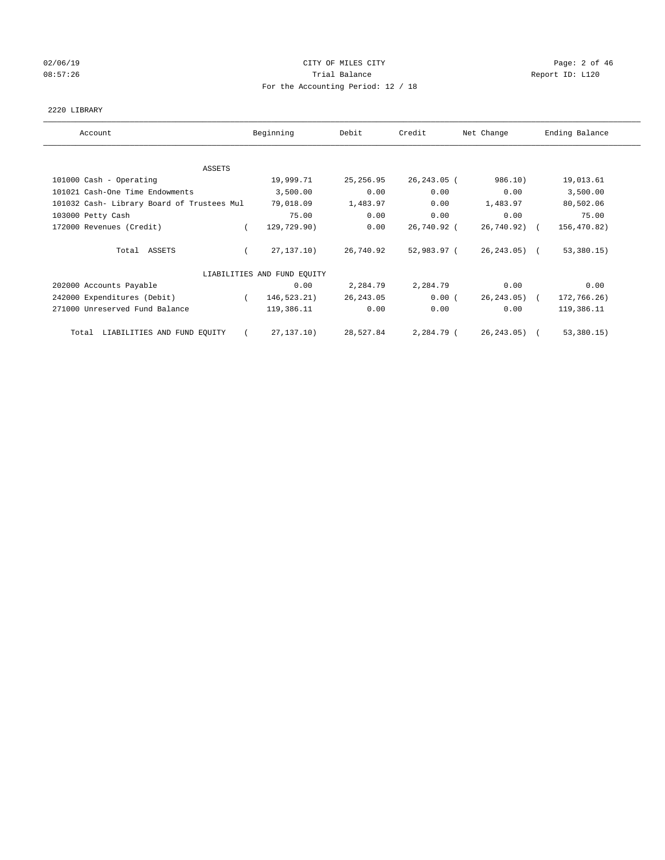## 02/06/19 Page: 2 of 46 08:57:26 Report ID: L120 For the Accounting Period: 12 / 18

## 2220 LIBRARY

| Account                                    | Beginning                   | Debit      | Credit         | Net Change     | Ending Balance |
|--------------------------------------------|-----------------------------|------------|----------------|----------------|----------------|
|                                            |                             |            |                |                |                |
| ASSETS                                     |                             |            |                |                |                |
| 101000 Cash - Operating                    | 19,999.71                   | 25, 256.95 | $26, 243.05$ ( | 986.10)        | 19,013.61      |
| 101021 Cash-One Time Endowments            | 3,500.00                    | 0.00       | 0.00           | 0.00           | 3,500.00       |
| 101032 Cash- Library Board of Trustees Mul | 79,018.09                   | 1,483.97   | 0.00           | 1,483.97       | 80,502.06      |
| 103000 Petty Cash                          | 75.00                       | 0.00       | 0.00           | 0.00           | 75.00          |
| 172000 Revenues (Credit)                   | 129,729.90)                 | 0.00       | 26,740.92 (    | 26,740.92) (   | 156,470.82)    |
| Total ASSETS                               | 27, 137, 10)                | 26,740.92  | 52,983.97 (    | 26,243.05) (   | 53,380.15)     |
|                                            | LIABILITIES AND FUND EQUITY |            |                |                |                |
| 202000 Accounts Payable                    | 0.00                        | 2,284.79   | 2,284.79       | 0.00           | 0.00           |
| 242000 Expenditures (Debit)                | 146,523.21)                 | 26, 243.05 | 0.00(          | $26, 243.05$ ( | 172,766.26)    |
| 271000 Unreserved Fund Balance             | 119,386.11                  | 0.00       | 0.00           | 0.00           | 119,386.11     |
| LIABILITIES AND FUND EQUITY<br>Total       | 27, 137, 10)                | 28,527.84  | 2,284.79 (     | 26, 243.05     | 53,380.15      |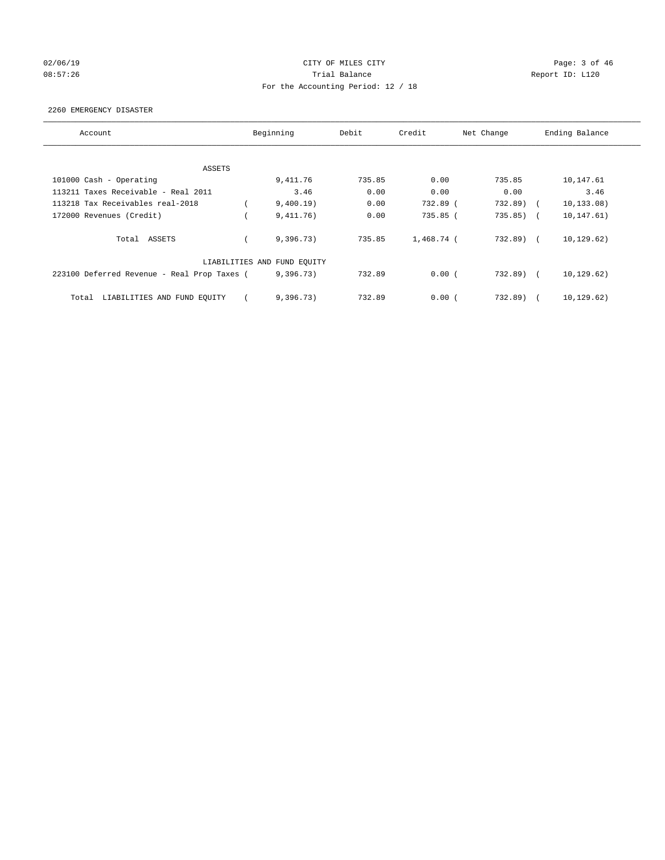# 02/06/19 Page: 3 of 46 08:57:26 Report ID: L120 For the Accounting Period: 12 / 18

## 2260 EMERGENCY DISASTER

| Account                                     | Beginning                   | Debit  | Credit     | Net Change            | Ending Balance |
|---------------------------------------------|-----------------------------|--------|------------|-----------------------|----------------|
|                                             |                             |        |            |                       |                |
| ASSETS                                      |                             |        |            |                       |                |
| 101000 Cash - Operating                     | 9,411.76                    | 735.85 | 0.00       | 735.85                | 10,147.61      |
| 113211 Taxes Receivable - Real 2011         | 3.46                        | 0.00   | 0.00       | 0.00                  | 3.46           |
| 113218 Tax Receivables real-2018            | 9,400.19)                   | 0.00   | 732.89 (   | 732.89)<br>$\sqrt{2}$ | 10, 133.08)    |
| 172000 Revenues (Credit)                    | 9,411.76)                   | 0.00   | $735.85$ ( | $735.85)$ (           | 10,147.61)     |
| Total ASSETS                                | 9,396.73)                   | 735.85 | 1,468.74 ( | $732.89$ (            | 10, 129.62)    |
|                                             | LIABILITIES AND FUND EQUITY |        |            |                       |                |
| 223100 Deferred Revenue - Real Prop Taxes ( | 9,396.73)                   | 732.89 | 0.00(      | $732.89$ (            | 10, 129.62)    |
| Total<br>LIABILITIES AND FUND EQUITY        | 9,396,73)                   | 732.89 | 0.00(      | 732.89)               | 10, 129.62)    |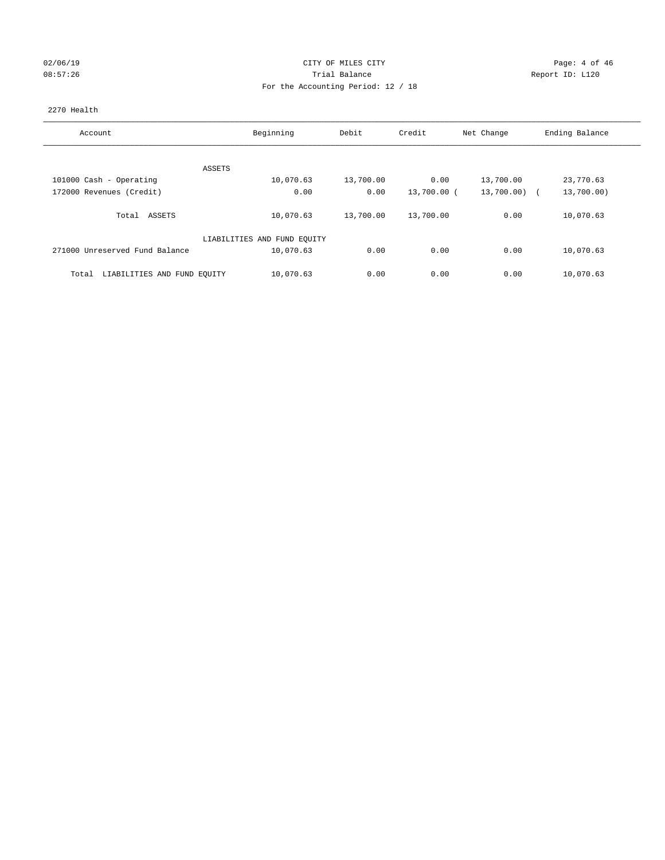## 02/06/19 Page: 4 of 46 08:57:26 Report ID: L120 For the Accounting Period: 12 / 18

## 2270 Health

| Account                              | Beginning                   | Debit     | Credit      | Net Change   | Ending Balance |
|--------------------------------------|-----------------------------|-----------|-------------|--------------|----------------|
|                                      |                             |           |             |              |                |
| ASSETS                               |                             |           |             |              |                |
| 101000 Cash - Operating              | 10,070.63                   | 13,700.00 | 0.00        | 13,700.00    | 23,770.63      |
| 172000 Revenues (Credit)             | 0.00                        | 0.00      | 13,700.00 ( | 13,700.00) ( | 13,700.00)     |
| ASSETS<br>Total                      | 10,070.63                   | 13,700.00 | 13,700.00   | 0.00         | 10,070.63      |
|                                      | LIABILITIES AND FUND EQUITY |           |             |              |                |
| 271000 Unreserved Fund Balance       | 10,070.63                   | 0.00      | 0.00        | 0.00         | 10,070.63      |
| LIABILITIES AND FUND EQUITY<br>Total | 10,070.63                   | 0.00      | 0.00        | 0.00         | 10,070.63      |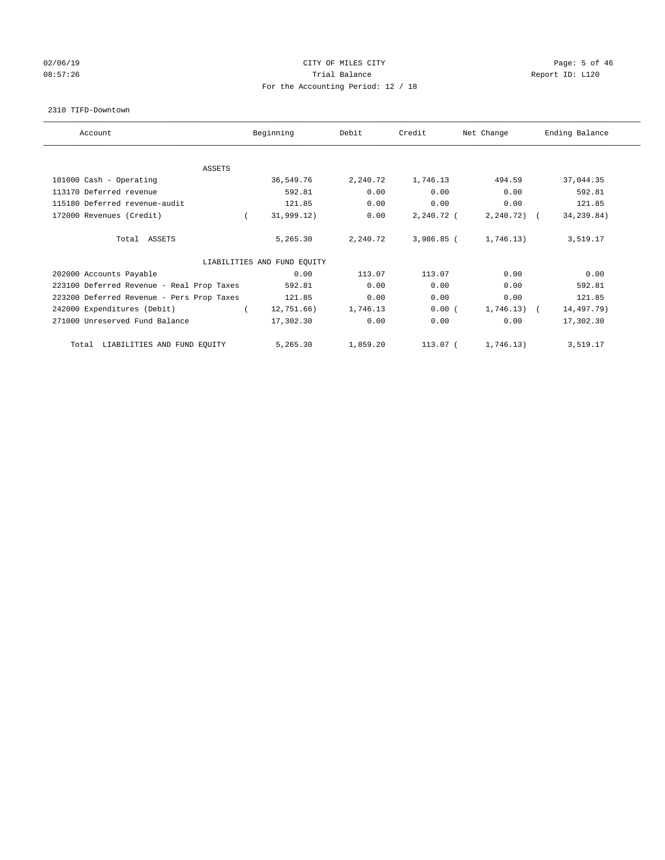## 02/06/19 Page: 5 of 46 08:57:26 Report ID: L120 For the Accounting Period: 12 / 18

#### 2310 TIFD-Downtown

| Account                                   | Beginning                   | Debit    | Credit       | Net Change    | Ending Balance |
|-------------------------------------------|-----------------------------|----------|--------------|---------------|----------------|
| ASSETS                                    |                             |          |              |               |                |
| 101000 Cash - Operating                   | 36,549.76                   | 2,240.72 | 1,746.13     | 494.59        | 37,044.35      |
| 113170 Deferred revenue                   | 592.81                      | 0.00     | 0.00         | 0.00          | 592.81         |
| 115180 Deferred revenue-audit             | 121.85                      | 0.00     | 0.00         | 0.00          | 121.85         |
| 172000 Revenues (Credit)                  | 31,999.12)                  | 0.00     | 2,240.72 (   | $2, 240.72$ ( | 34,239.84)     |
| Total ASSETS                              | 5,265.30                    | 2,240.72 | $3,986.85$ ( | 1,746.13)     | 3,519.17       |
|                                           | LIABILITIES AND FUND EQUITY |          |              |               |                |
| 202000 Accounts Payable                   | 0.00                        | 113.07   | 113.07       | 0.00          | 0.00           |
| 223100 Deferred Revenue - Real Prop Taxes | 592.81                      | 0.00     | 0.00         | 0.00          | 592.81         |
| 223200 Deferred Revenue - Pers Prop Taxes | 121.85                      | 0.00     | 0.00         | 0.00          | 121.85         |
| 242000 Expenditures (Debit)               | 12,751.66)                  | 1,746.13 | 0.00(        | $1,746.13$ (  | 14,497.79)     |
| 271000 Unreserved Fund Balance            | 17,302.30                   | 0.00     | 0.00         | 0.00          | 17,302.30      |
| LIABILITIES AND FUND EQUITY<br>Total      | 5,265.30                    | 1,859.20 | 113.07 (     | 1,746.13)     | 3,519.17       |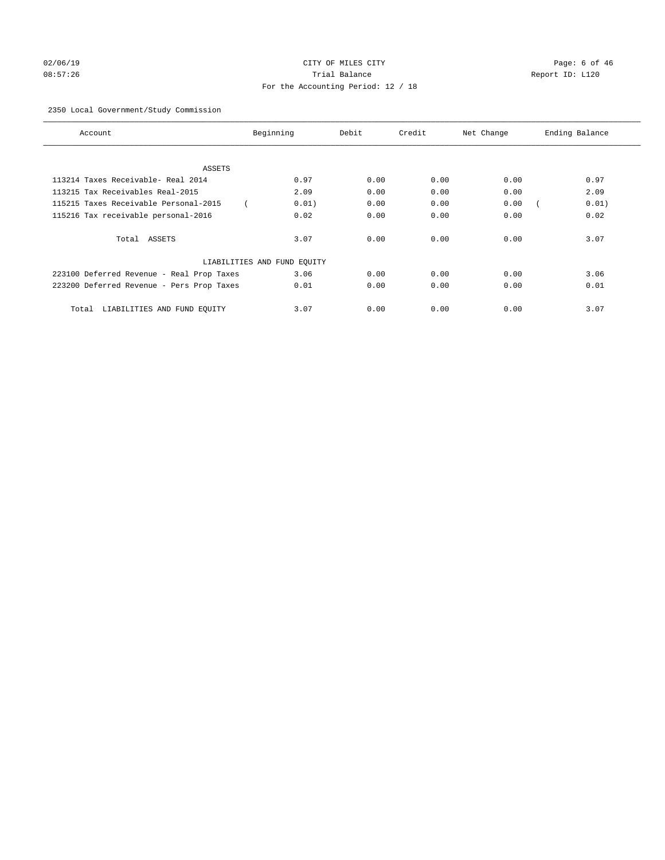# 02/06/19 Page: 6 of 46 08:57:26 Trial Balance Report ID: L120 For the Accounting Period: 12 / 18

## 2350 Local Government/Study Commission

| Account                                   | Beginning                   | Debit | Credit | Net Change | Ending Balance |
|-------------------------------------------|-----------------------------|-------|--------|------------|----------------|
|                                           |                             |       |        |            |                |
| <b>ASSETS</b>                             |                             |       |        |            |                |
| 113214 Taxes Receivable- Real 2014        | 0.97                        | 0.00  | 0.00   | 0.00       | 0.97           |
| 113215 Tax Receivables Real-2015          | 2.09                        | 0.00  | 0.00   | 0.00       | 2.09           |
| 115215 Taxes Receivable Personal-2015     | 0.01)                       | 0.00  | 0.00   | 0.00       | 0.01)          |
| 115216 Tax receivable personal-2016       | 0.02                        | 0.00  | 0.00   | 0.00       | 0.02           |
| Total ASSETS                              | 3.07                        | 0.00  | 0.00   | 0.00       | 3.07           |
|                                           | LIABILITIES AND FUND EQUITY |       |        |            |                |
| 223100 Deferred Revenue - Real Prop Taxes | 3.06                        | 0.00  | 0.00   | 0.00       | 3.06           |
| 223200 Deferred Revenue - Pers Prop Taxes | 0.01                        | 0.00  | 0.00   | 0.00       | 0.01           |
| LIABILITIES AND FUND EQUITY<br>Total      | 3.07                        | 0.00  | 0.00   | 0.00       | 3.07           |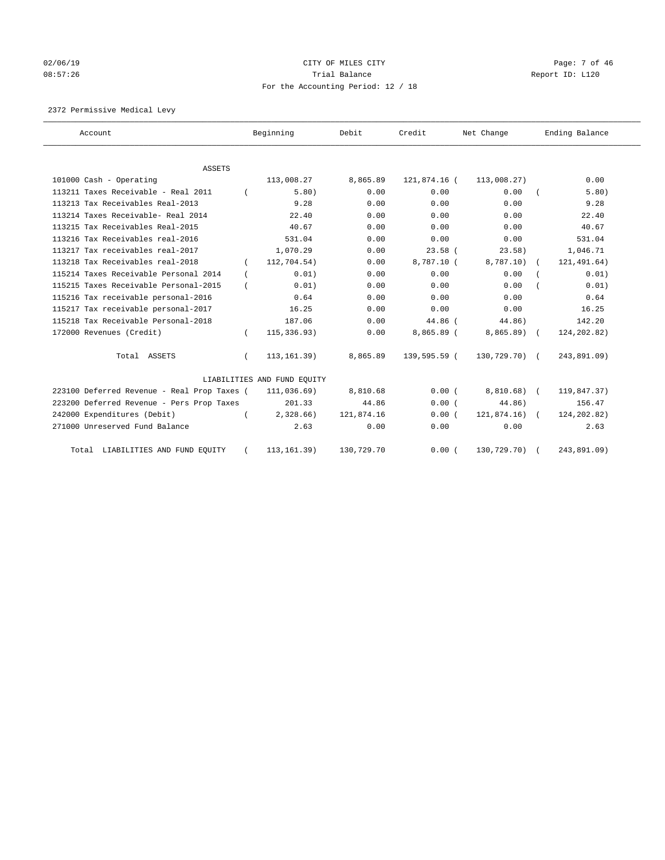# 02/06/19 Page: 7 of 46 08:57:26 Trial Balance Report ID: L120 For the Accounting Period: 12 / 18

2372 Permissive Medical Levy

| Account                                     |          | Beginning                   | Debit      | Credit       | Net Change     | Ending Balance |
|---------------------------------------------|----------|-----------------------------|------------|--------------|----------------|----------------|
|                                             |          |                             |            |              |                |                |
| <b>ASSETS</b><br>101000 Cash - Operating    |          | 113,008.27                  | 8,865.89   | 121,874.16 ( | 113,008.27)    | 0.00           |
| 113211 Taxes Receivable - Real 2011         |          | 5.80)                       | 0.00       | 0.00         | 0.00           | 5.80)          |
| 113213 Tax Receivables Real-2013            |          | 9.28                        | 0.00       | 0.00         | 0.00           | 9.28           |
| 113214 Taxes Receivable- Real 2014          |          | 22.40                       | 0.00       | 0.00         | 0.00           | 22.40          |
| 113215 Tax Receivables Real-2015            |          | 40.67                       | 0.00       | 0.00         | 0.00           | 40.67          |
| 113216 Tax Receivables real-2016            |          | 531.04                      | 0.00       | 0.00         | 0.00           | 531.04         |
| 113217 Tax receivables real-2017            |          | 1,070.29                    | 0.00       | $23.58$ (    | 23.58)         | 1,046.71       |
| 113218 Tax Receivables real-2018            |          | 112,704.54)                 | 0.00       | 8,787.10 (   | $8,787.10$ (   | 121, 491.64)   |
| 115214 Taxes Receivable Personal 2014       |          | 0.01)                       | 0.00       | 0.00         | 0.00           | 0.01)          |
| 115215 Taxes Receivable Personal-2015       |          | 0.01)                       | 0.00       | 0.00         | 0.00           | 0.01)          |
| 115216 Tax receivable personal-2016         |          | 0.64                        | 0.00       | 0.00         | 0.00           | 0.64           |
| 115217 Tax receivable personal-2017         |          | 16.25                       | 0.00       | 0.00         | 0.00           | 16.25          |
| 115218 Tax Receivable Personal-2018         |          | 187.06                      | 0.00       | 44.86 (      | 44.86)         | 142.20         |
| 172000 Revenues (Credit)                    |          | 115,336.93)                 | 0.00       | 8,865.89 (   | $8,865.89$ (   | 124, 202.82)   |
|                                             |          |                             |            |              |                |                |
| Total ASSETS                                | $\left($ | 113, 161.39)                | 8,865.89   | 139,595.59 ( | $130,729.70$ ( | 243,891.09)    |
|                                             |          | LIABILITIES AND FUND EQUITY |            |              |                |                |
| 223100 Deferred Revenue - Real Prop Taxes ( |          | 111,036.69)                 | 8,810.68   | 0.00(        | $8,810.68$ (   | 119,847.37)    |
| 223200 Deferred Revenue - Pers Prop Taxes   |          | 201.33                      | 44.86      | 0.00(        | 44.86)         | 156.47         |
| 242000 Expenditures (Debit)                 | $\left($ | 2,328.66)                   | 121,874.16 | 0.00(        | $121,874.16$ ( | 124,202.82)    |
| 271000 Unreserved Fund Balance              |          | 2.63                        | 0.00       | 0.00         | 0.00           | 2.63           |
|                                             |          |                             |            |              |                |                |
| Total LIABILITIES AND FUND EQUITY           |          | 113, 161.39)                | 130,729.70 | 0.00(        | 130,729.70)    | 243,891.09)    |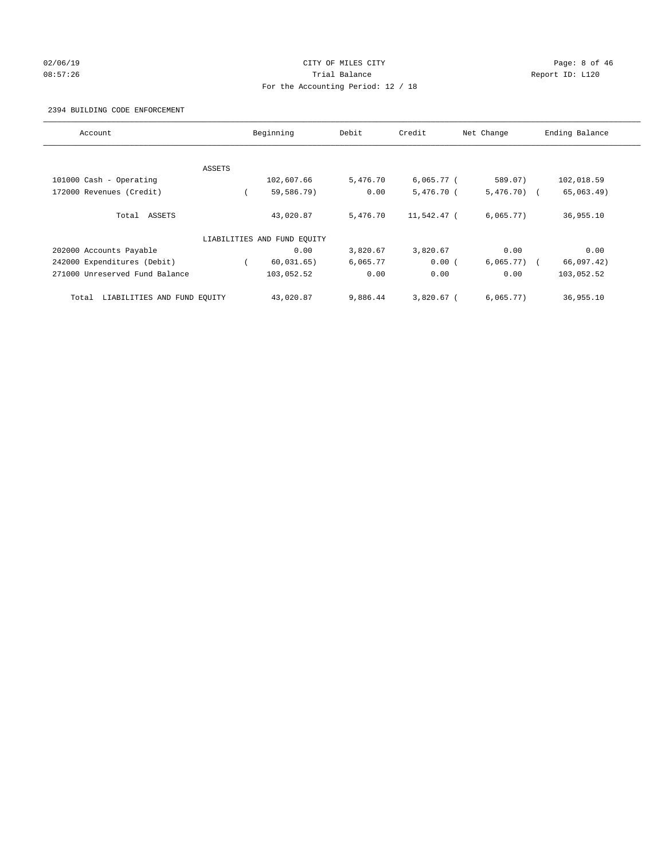## 02/06/19 Page: 8 of 46 08:57:26 Trial Balance Report ID: L120 For the Accounting Period: 12 / 18

### 2394 BUILDING CODE ENFORCEMENT

| Account                              |        | Beginning                   | Debit    | Credit       | Net Change     | Ending Balance |
|--------------------------------------|--------|-----------------------------|----------|--------------|----------------|----------------|
|                                      |        |                             |          |              |                |                |
|                                      | ASSETS |                             |          |              |                |                |
| 101000 Cash - Operating              |        | 102,607.66                  | 5,476.70 | $6,065.77$ ( | 589.07)        | 102,018.59     |
| 172000 Revenues (Credit)             |        | 59,586.79)                  | 0.00     | 5,476.70 (   | $5,476.70$ (   | 65,063.49)     |
| Total ASSETS                         |        | 43,020.87                   | 5,476.70 | 11,542.47 (  | 6,065.77)      | 36,955.10      |
|                                      |        | LIABILITIES AND FUND EQUITY |          |              |                |                |
| 202000 Accounts Payable              |        | 0.00                        | 3,820.67 | 3,820.67     | 0.00           | 0.00           |
| 242000 Expenditures (Debit)          |        | 60,031.65)                  | 6,065.77 | 0.00(        | $6,065.77$ ) ( | 66,097.42)     |
| 271000 Unreserved Fund Balance       |        | 103,052.52                  | 0.00     | 0.00         | 0.00           | 103,052.52     |
| Total<br>LIABILITIES AND FUND EQUITY |        | 43,020.87                   | 9,886.44 | $3.820.67$ ( | 6,065.77)      | 36,955.10      |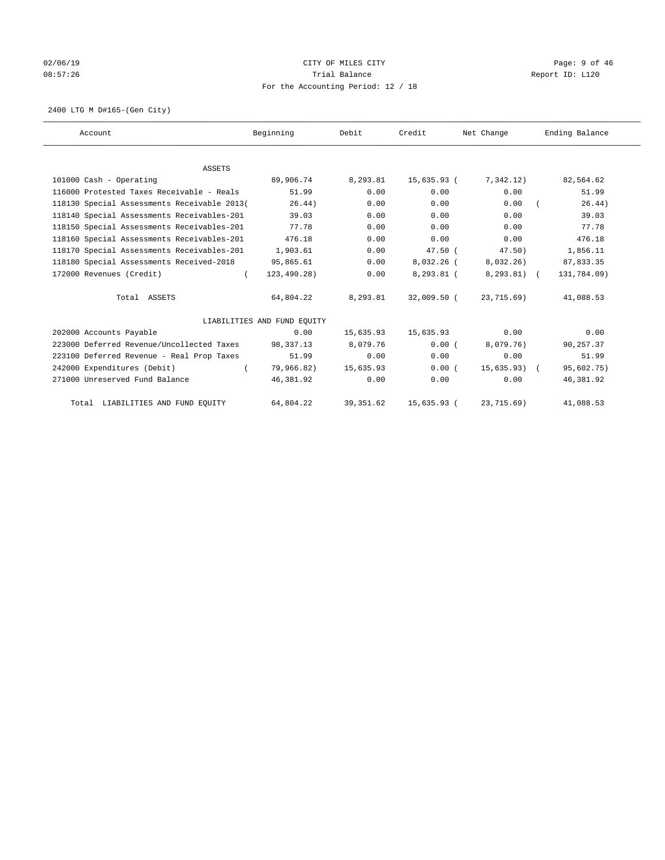# 02/06/19 Page: 9 of 46 08:57:26 Trial Balance Report ID: L120 For the Accounting Period: 12 / 18

2400 LTG M D#165-(Gen City)

| Account                                     | Beginning                   | Debit      | Credit        | Net Change     | Ending Balance |
|---------------------------------------------|-----------------------------|------------|---------------|----------------|----------------|
|                                             |                             |            |               |                |                |
| <b>ASSETS</b>                               |                             |            |               |                |                |
| 101000 Cash - Operating                     | 89,906.74                   | 8,293.81   | 15,635.93 (   | 7,342.12)      | 82,564.62      |
| 116000 Protested Taxes Receivable - Reals   | 51.99                       | 0.00       | 0.00          | 0.00           | 51.99          |
| 118130 Special Assessments Receivable 2013( | 26.44)                      | 0.00       | 0.00          | 0.00           | 26.44)         |
| 118140 Special Assessments Receivables-201  | 39.03                       | 0.00       | 0.00          | 0.00           | 39.03          |
| 118150 Special Assessments Receivables-201  | 77.78                       | 0.00       | 0.00          | 0.00           | 77.78          |
| 118160 Special Assessments Receivables-201  | 476.18                      | 0.00       | 0.00          | 0.00           | 476.18         |
| 118170 Special Assessments Receivables-201  | 1,903.61                    | 0.00       | $47.50$ (     | 47.50)         | 1,856.11       |
| 118180 Special Assessments Received-2018    | 95,865.61                   | 0.00       | $8,032.26$ (  | 8,032,26)      | 87,833.35      |
| 172000 Revenues (Credit)<br>$\left($        | 123,490.28)                 | 0.00       | 8,293.81 (    | $8, 293.81)$ ( | 131,784.09)    |
| Total ASSETS                                | 64,804.22                   | 8,293.81   | $32.009.50$ ( | 23,715.69)     | 41,088.53      |
|                                             | LIABILITIES AND FUND EQUITY |            |               |                |                |
| 202000 Accounts Payable                     | 0.00                        | 15,635.93  | 15,635.93     | 0.00           | 0.00           |
| 223000 Deferred Revenue/Uncollected Taxes   | 98,337.13                   | 8,079.76   | 0.00(         | 8,079.76)      | 90,257.37      |
| 223100 Deferred Revenue - Real Prop Taxes   | 51.99                       | 0.00       | 0.00          | 0.00           | 51.99          |
| 242000 Expenditures (Debit)<br>$\left($     | 79,966.82)                  | 15,635.93  | 0.00(         | 15,635.93) (   | 95,602.75)     |
| 271000 Unreserved Fund Balance              | 46,381.92                   | 0.00       | 0.00          | 0.00           | 46,381.92      |
| Total LIABILITIES AND FUND EQUITY           | 64,804.22                   | 39, 351.62 | 15,635.93 (   | 23,715.69)     | 41,088.53      |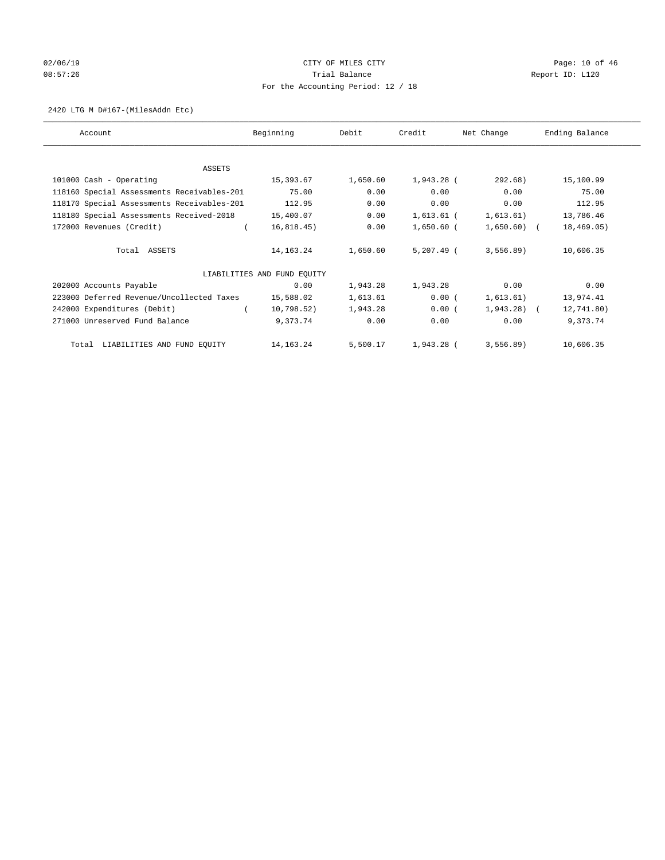# $O2/06/19$  Page: 10 of 46 08:57:26 Trial Balance Report ID: L120 For the Accounting Period: 12 / 18

2420 LTG M D#167-(MilesAddn Etc)

| Account                                    | Beginning                   | Debit    | Credit       | Net Change    | Ending Balance |
|--------------------------------------------|-----------------------------|----------|--------------|---------------|----------------|
| ASSETS                                     |                             |          |              |               |                |
| 101000 Cash - Operating                    | 15,393.67                   | 1,650.60 | 1,943.28 (   | 292.68)       | 15,100.99      |
| 118160 Special Assessments Receivables-201 | 75.00                       | 0.00     | 0.00         | 0.00          | 75.00          |
| 118170 Special Assessments Receivables-201 | 112.95                      | 0.00     | 0.00         | 0.00          | 112.95         |
| 118180 Special Assessments Received-2018   | 15,400.07                   | 0.00     | 1,613.61 (   | 1,613.61)     | 13,786.46      |
| 172000 Revenues (Credit)                   | 16,818.45)                  | 0.00     | 1,650.60 (   | $1,650.60)$ ( | 18,469.05)     |
| Total ASSETS                               | 14,163.24                   | 1,650.60 | $5,207.49$ ( | 3,556.89      | 10,606.35      |
|                                            | LIABILITIES AND FUND EQUITY |          |              |               |                |
| 202000 Accounts Payable                    | 0.00                        | 1,943.28 | 1,943.28     | 0.00          | 0.00           |
| 223000 Deferred Revenue/Uncollected Taxes  | 15,588.02                   | 1,613.61 | 0.00(        | 1,613.61)     | 13,974.41      |
| 242000 Expenditures (Debit)                | 10,798.52)                  | 1,943.28 | 0.00(        | $1,943.28$ (  | 12,741.80)     |
| 271000 Unreserved Fund Balance             | 9,373.74                    | 0.00     | 0.00         | 0.00          | 9,373.74       |
| LIABILITIES AND FUND EQUITY<br>Total       | 14, 163. 24                 | 5,500.17 | 1,943.28 (   | 3,556.89      | 10,606.35      |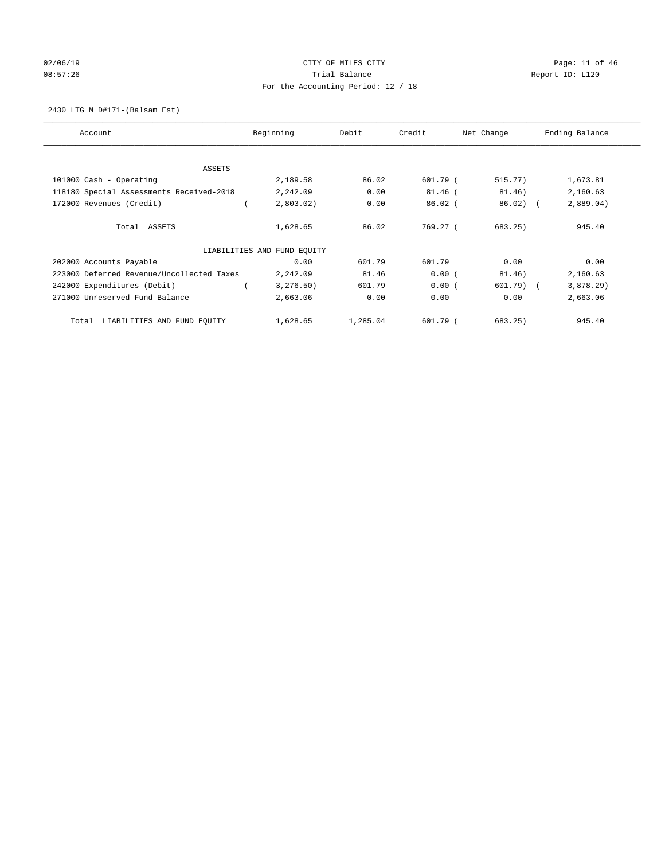# $O2/06/19$  Page: 11 of 46 08:57:26 **Trial Balance Constanting Constanting Constanting Constanting Constanting Constanting Constanting Constanting Constanting Constanting Constanting Constanting Constanting Constanting Constanting Constanting Cons** For the Accounting Period: 12 / 18

2430 LTG M D#171-(Balsam Est)

| Account                                   | Beginning                   | Debit    | Credit     | Net Change  | Ending Balance |
|-------------------------------------------|-----------------------------|----------|------------|-------------|----------------|
| ASSETS                                    |                             |          |            |             |                |
| 101000 Cash - Operating                   | 2,189.58                    | 86.02    | 601.79 (   | 515.77)     | 1,673.81       |
|                                           |                             |          |            |             |                |
| 118180 Special Assessments Received-2018  | 2,242.09                    | 0.00     | $81.46$ (  | 81.46)      | 2,160.63       |
| 172000 Revenues (Credit)                  | 2,803.02)                   | 0.00     | $86.02$ (  | $86.02$ ) ( | 2,889.04)      |
| Total ASSETS                              | 1,628.65                    | 86.02    | 769.27(    | 683.25      | 945.40         |
|                                           | LIABILITIES AND FUND EQUITY |          |            |             |                |
| 202000 Accounts Payable                   | 0.00                        | 601.79   | 601.79     | 0.00        | 0.00           |
| 223000 Deferred Revenue/Uncollected Taxes | 2,242.09                    | 81.46    | 0.00(      | 81.46)      | 2,160.63       |
| 242000 Expenditures (Debit)               | 3,276.50)                   | 601.79   | 0.00(      | 601.79) (   | 3,878.29       |
| 271000 Unreserved Fund Balance            | 2,663.06                    | 0.00     | 0.00       | 0.00        | 2,663.06       |
| LIABILITIES AND FUND EQUITY<br>Total      | 1,628.65                    | 1,285.04 | $601.79$ ( | 683.25)     | 945.40         |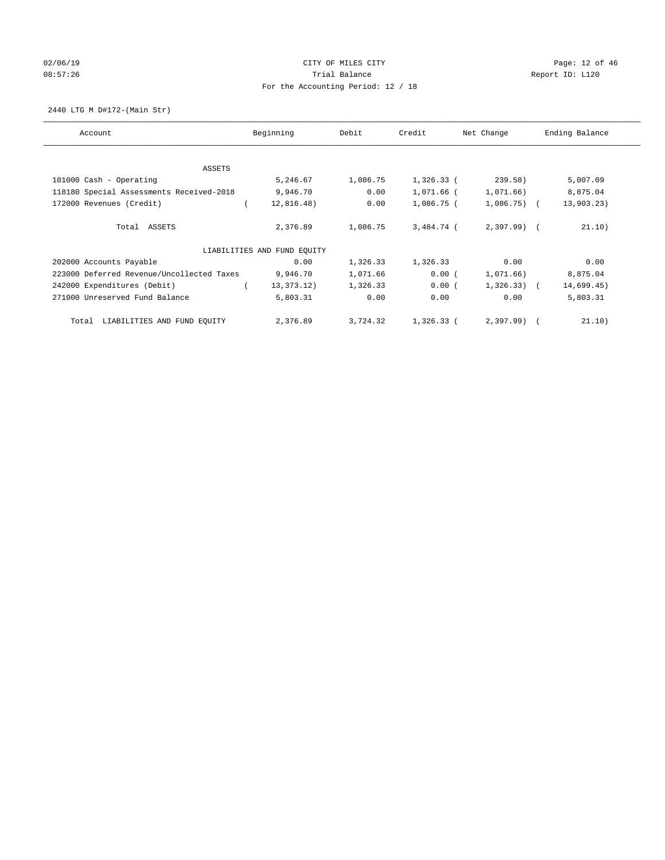# 02/06/19 Page: 12 of 46 08:57:26 **Trial Balance Constanting Constanting Constanting Constanting Constanting Constanting Constanting Constanting Constanting Constanting Constanting Constanting Constanting Constanting Constanting Constanting Cons** For the Accounting Period: 12 / 18

2440 LTG M D#172-(Main Str)

| Account                                   | Beginning                   | Debit    | Credit       | Net Change     | Ending Balance |
|-------------------------------------------|-----------------------------|----------|--------------|----------------|----------------|
|                                           |                             |          |              |                |                |
| ASSETS                                    |                             |          |              |                |                |
| 101000 Cash - Operating                   | 5,246.67                    | 1,086.75 | $1,326.33$ ( | 239.58)        | 5,007.09       |
| 118180 Special Assessments Received-2018  | 9,946.70                    | 0.00     | 1,071.66 (   | 1,071.66)      | 8,875.04       |
| 172000 Revenues (Credit)                  | 12,816.48)                  | 0.00     | 1,086.75 (   | $1,086.75$ ) ( | 13,903.23)     |
| Total ASSETS                              | 2,376.89                    | 1,086.75 | 3,484.74 (   | $2,397.99$ (   | 21.10)         |
|                                           | LIABILITIES AND FUND EQUITY |          |              |                |                |
| 202000 Accounts Payable                   | 0.00                        | 1,326.33 | 1,326.33     | 0.00           | 0.00           |
| 223000 Deferred Revenue/Uncollected Taxes | 9,946.70                    | 1,071.66 | 0.00(        | 1,071.66)      | 8,875.04       |
| 242000 Expenditures (Debit)               | 13, 373. 12)                | 1,326.33 | 0.00(        | $1,326.33$ (   | 14,699.45)     |
| 271000 Unreserved Fund Balance            | 5,803.31                    | 0.00     | 0.00         | 0.00           | 5,803.31       |
| LIABILITIES AND FUND EQUITY<br>Total      | 2,376.89                    | 3,724.32 | 1,326.33 (   | $2,397.99$ (   | 21.10)         |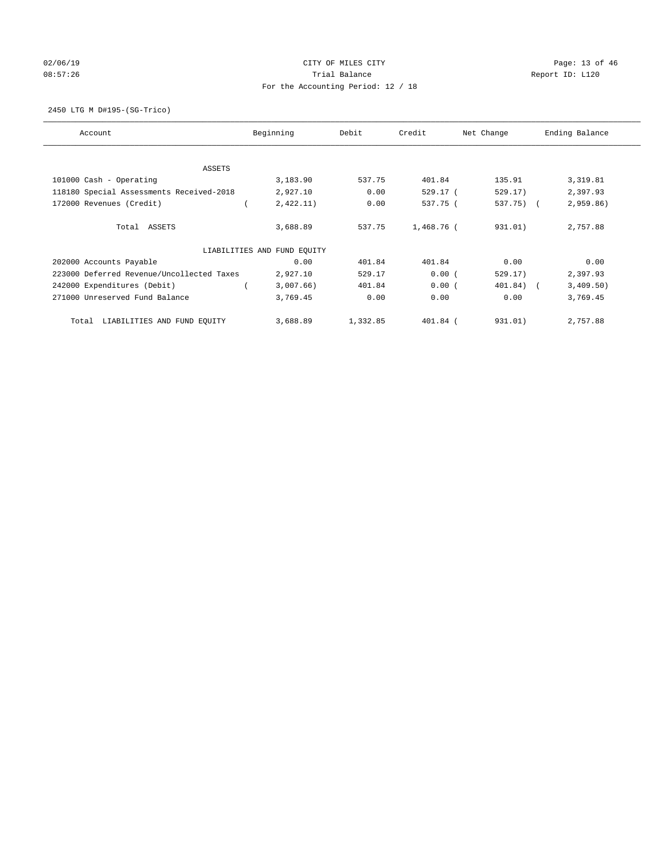# $O2/06/19$  Page: 13 of 46 08:57:26 **Trial Balance Constanting Constanting Constanting Constanting Constanting Constanting Constanting Constanting Constanting Constanting Constanting Constanting Constanting Constanting Constanting Constanting Cons** For the Accounting Period: 12 / 18

2450 LTG M D#195-(SG-Trico)

| Account                                   | Beginning                   | Debit    | Credit     | Net Change  | Ending Balance |
|-------------------------------------------|-----------------------------|----------|------------|-------------|----------------|
| ASSETS                                    |                             |          |            |             |                |
| 101000 Cash - Operating                   | 3,183.90                    | 537.75   | 401.84     | 135.91      | 3,319.81       |
|                                           |                             |          |            |             |                |
| 118180 Special Assessments Received-2018  | 2,927.10                    | 0.00     | 529.17 (   | 529.17)     | 2,397.93       |
| 172000 Revenues (Credit)                  | 2,422.11)                   | 0.00     | 537.75 (   | 537.75) (   | 2,959.86       |
| Total ASSETS                              | 3,688.89                    | 537.75   | 1,468.76 ( | 931.01)     | 2,757.88       |
|                                           | LIABILITIES AND FUND EOUITY |          |            |             |                |
| 202000 Accounts Payable                   | 0.00                        | 401.84   | 401.84     | 0.00        | 0.00           |
| 223000 Deferred Revenue/Uncollected Taxes | 2,927.10                    | 529.17   | 0.00(      | 529.17)     | 2,397.93       |
| 242000 Expenditures (Debit)               | 3,007.66)                   | 401.84   | 0.00(      | $401.84)$ ( | 3,409.50)      |
| 271000 Unreserved Fund Balance            | 3,769.45                    | 0.00     | 0.00       | 0.00        | 3,769.45       |
| LIABILITIES AND FUND EQUITY<br>Total      | 3,688.89                    | 1,332.85 | $401.84$ ( | 931.01)     | 2,757.88       |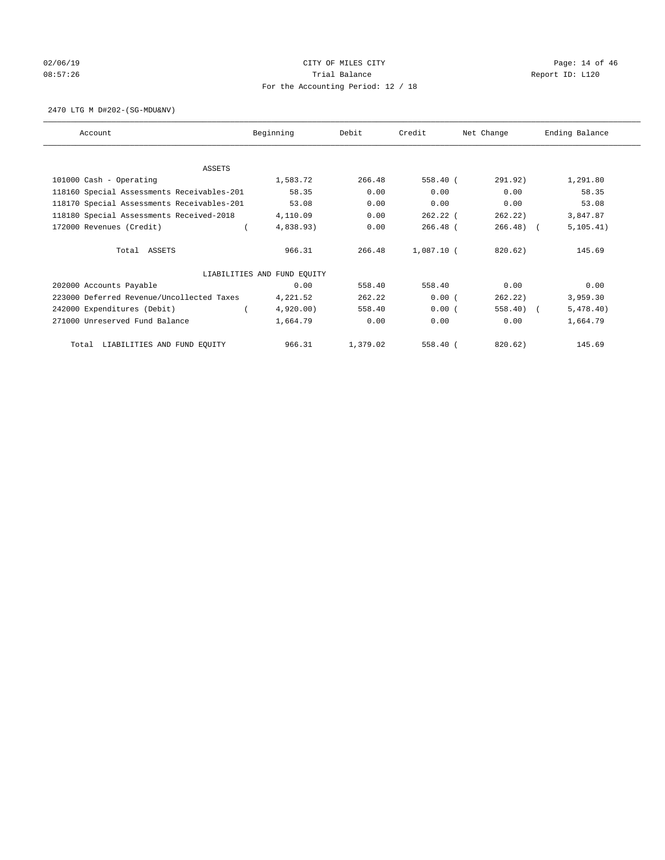# $O2/06/19$  Page: 14 of 46 08:57:26 Report ID: L120 For the Accounting Period: 12 / 18

2470 LTG M D#202-(SG-MDU&NV)

| Account                                    | Beginning                   | Debit    | Credit       | Net Change   | Ending Balance |
|--------------------------------------------|-----------------------------|----------|--------------|--------------|----------------|
| ASSETS                                     |                             |          |              |              |                |
| 101000 Cash - Operating                    | 1,583.72                    | 266.48   | 558.40 (     | 291.92)      | 1,291.80       |
| 118160 Special Assessments Receivables-201 | 58.35                       | 0.00     | 0.00         | 0.00         | 58.35          |
| 118170 Special Assessments Receivables-201 | 53.08                       | 0.00     | 0.00         | 0.00         | 53.08          |
| 118180 Special Assessments Received-2018   | 4,110.09                    | 0.00     | $262.22$ (   | 262.22)      | 3,847.87       |
| 172000 Revenues (Credit)                   | 4,838.93)                   | 0.00     | $266.48$ (   | $266.48$ ) ( | 5, 105.41)     |
| Total ASSETS                               | 966.31                      | 266.48   | $1,087.10$ ( | 820.62)      | 145.69         |
|                                            | LIABILITIES AND FUND EQUITY |          |              |              |                |
| 202000 Accounts Payable                    | 0.00                        | 558.40   | 558.40       | 0.00         | 0.00           |
| 223000 Deferred Revenue/Uncollected Taxes  | 4,221.52                    | 262.22   | 0.00(        | 262.22)      | 3,959.30       |
| 242000 Expenditures (Debit)                | 4,920.00                    | 558.40   | 0.00(        | $558.40$ (   | 5,478.40)      |
| 271000 Unreserved Fund Balance             | 1,664.79                    | 0.00     | 0.00         | 0.00         | 1,664.79       |
| LIABILITIES AND FUND EQUITY<br>Total       | 966.31                      | 1,379.02 | $558.40$ (   | 820.62)      | 145.69         |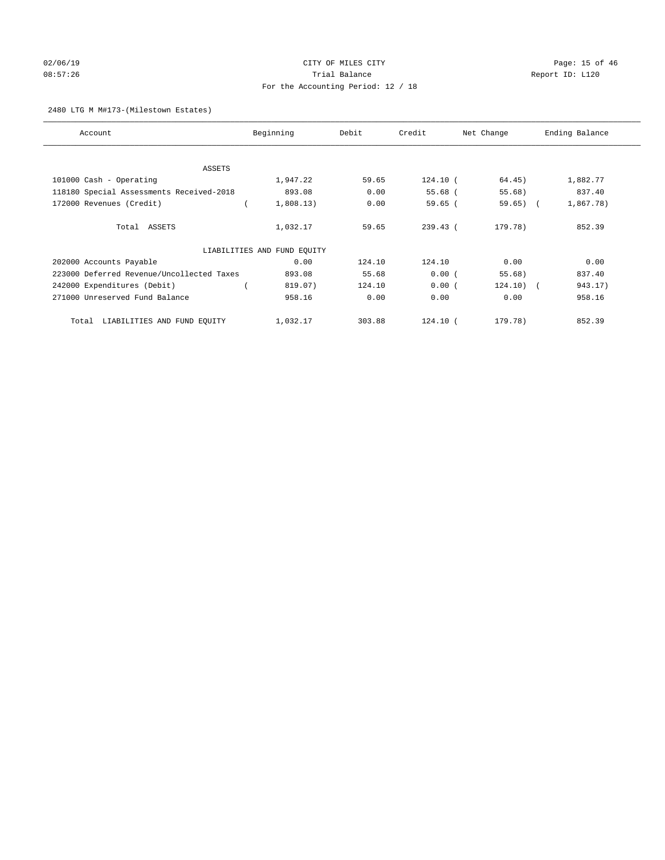# $O2/06/19$  Page: 15 of 46 08:57:26 Trial Balance Report ID: L120 For the Accounting Period: 12 / 18

## 2480 LTG M M#173-(Milestown Estates)

| Account                                   | Beginning                   | Debit  | Credit     | Net Change  | Ending Balance |
|-------------------------------------------|-----------------------------|--------|------------|-------------|----------------|
|                                           |                             |        |            |             |                |
| ASSETS                                    |                             |        |            |             |                |
| 101000 Cash - Operating                   | 1,947.22                    | 59.65  | 124.10 (   | 64.45)      | 1,882.77       |
| 118180 Special Assessments Received-2018  | 893.08                      | 0.00   | $55.68$ (  | 55.68)      | 837.40         |
| 172000 Revenues (Credit)                  | 1,808.13)                   | 0.00   | $59.65$ (  | $59.65$ ) ( | 1,867.78)      |
| Total ASSETS                              | 1,032.17                    | 59.65  | $239.43$ ( | 179.78)     | 852.39         |
|                                           | LIABILITIES AND FUND EQUITY |        |            |             |                |
| 202000 Accounts Payable                   | 0.00                        | 124.10 | 124.10     | 0.00        | 0.00           |
| 223000 Deferred Revenue/Uncollected Taxes | 893.08                      | 55.68  | 0.00(      | 55.68)      | 837.40         |
| 242000 Expenditures (Debit)               | 819.07)                     | 124.10 | 0.00(      | $124.10)$ ( | 943.17)        |
| 271000 Unreserved Fund Balance            | 958.16                      | 0.00   | 0.00       | 0.00        | 958.16         |
| LIABILITIES AND FUND EQUITY<br>Total      | 1,032.17                    | 303.88 | $124.10$ ( | 179.78)     | 852.39         |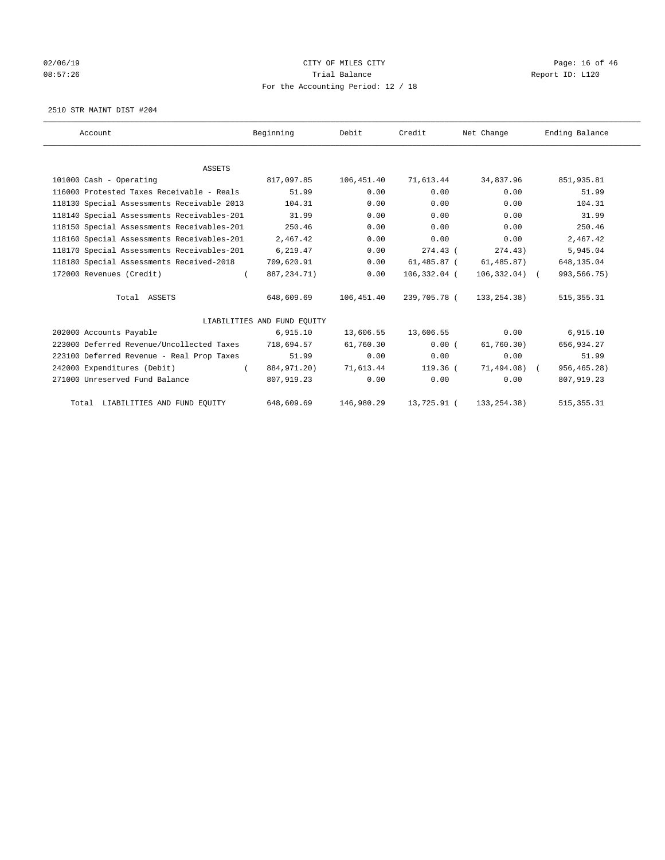# $O2/06/19$  Page: 16 of 46 08:57:26 Trial Balance Report ID: L120 For the Accounting Period: 12 / 18

2510 STR MAINT DIST #204

| Account                                    | Beginning                   | Debit      | Credit       | Net Change     | Ending Balance |
|--------------------------------------------|-----------------------------|------------|--------------|----------------|----------------|
|                                            |                             |            |              |                |                |
| <b>ASSETS</b>                              |                             |            |              |                |                |
| 101000 Cash - Operating                    | 817,097.85                  | 106,451.40 | 71,613.44    | 34,837.96      | 851,935.81     |
| 116000 Protested Taxes Receivable - Reals  | 51.99                       | 0.00       | 0.00         | 0.00           | 51.99          |
| 118130 Special Assessments Receivable 2013 | 104.31                      | 0.00       | 0.00         | 0.00           | 104.31         |
| 118140 Special Assessments Receivables-201 | 31.99                       | 0.00       | 0.00         | 0.00           | 31.99          |
| 118150 Special Assessments Receivables-201 | 250.46                      | 0.00       | 0.00         | 0.00           | 250.46         |
| 118160 Special Assessments Receivables-201 | 2,467.42                    | 0.00       | 0.00         | 0.00           | 2,467.42       |
| 118170 Special Assessments Receivables-201 | 6,219.47                    | 0.00       | $274.43$ (   | 274.43)        | 5,945.04       |
| 118180 Special Assessments Received-2018   | 709,620.91                  | 0.00       | 61,485.87 (  | 61,485.87)     | 648,135.04     |
| 172000 Revenues (Credit)<br>$\left($       | 887, 234. 71)               | 0.00       | 106,332.04 ( | $106,332.04$ ( | 993, 566. 75)  |
| Total ASSETS                               | 648,609.69                  | 106,451.40 | 239,705.78 ( | 133,254.38)    | 515, 355.31    |
|                                            | LIABILITIES AND FUND EQUITY |            |              |                |                |
| 202000 Accounts Payable                    | 6,915.10                    | 13,606.55  | 13,606.55    | 0.00           | 6,915.10       |
| 223000 Deferred Revenue/Uncollected Taxes  | 718,694.57                  | 61,760.30  | 0.00(        | 61,760.30)     | 656,934.27     |
| 223100 Deferred Revenue - Real Prop Taxes  | 51.99                       | 0.00       | 0.00         | 0.00           | 51.99          |
| 242000 Expenditures (Debit)<br>$\sqrt{2}$  | 884,971.20)                 | 71,613.44  | 119.36 (     | 71,494.08) (   | 956, 465.28)   |
| 271000 Unreserved Fund Balance             | 807,919.23                  | 0.00       | 0.00         | 0.00           | 807,919.23     |
| Total LIABILITIES AND FUND EQUITY          | 648,609.69                  | 146,980.29 | 13,725.91 (  | 133, 254. 38)  | 515, 355.31    |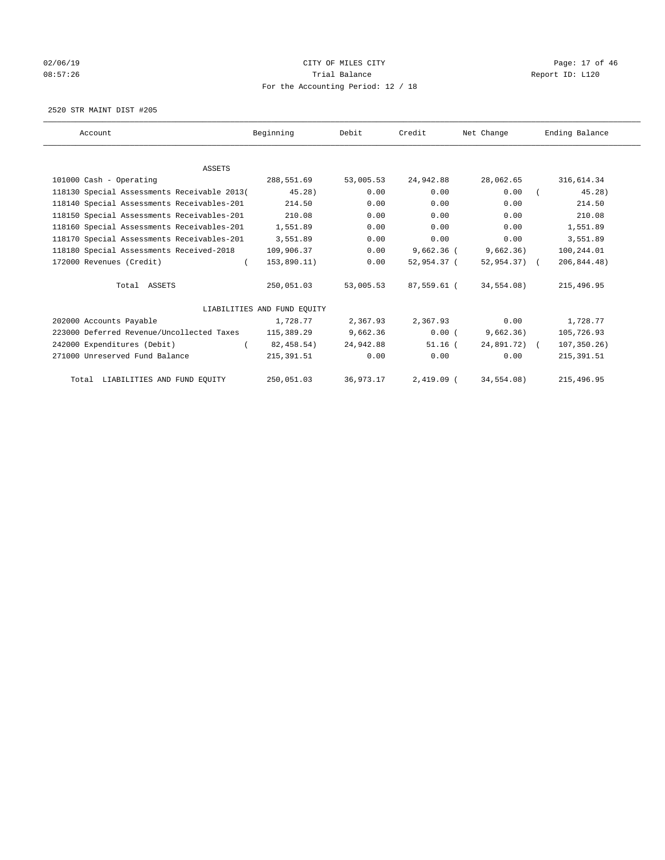# $O2/06/19$  Page: 17 of 46 08:57:26 **Trial Balance Constanting Constanting Constanting Constanting Constanting Constanting Constanting Constanting Constanting Constanting Constanting Constanting Constanting Constanting Constanting Constanting Cons** For the Accounting Period: 12 / 18

2520 STR MAINT DIST #205

| Account                                     | Beginning                   | Debit       | Credit       | Net Change    | Ending Balance |
|---------------------------------------------|-----------------------------|-------------|--------------|---------------|----------------|
|                                             |                             |             |              |               |                |
| ASSETS                                      |                             |             |              |               |                |
| 101000 Cash - Operating                     | 288,551.69                  | 53,005.53   | 24,942.88    | 28,062.65     | 316,614.34     |
| 118130 Special Assessments Receivable 2013( | $45.28$ )                   | 0.00        | 0.00         | 0.00          | 45.28          |
| 118140 Special Assessments Receivables-201  | 214.50                      | 0.00        | 0.00         | 0.00          | 214.50         |
| 118150 Special Assessments Receivables-201  | 210.08                      | 0.00        | 0.00         | 0.00          | 210.08         |
| 118160 Special Assessments Receivables-201  | 1,551.89                    | 0.00        | 0.00         | 0.00          | 1,551.89       |
| 118170 Special Assessments Receivables-201  | 3,551.89                    | 0.00        | 0.00         | 0.00          | 3,551.89       |
| 118180 Special Assessments Received-2018    | 109,906.37                  | 0.00        | $9,662.36$ ( | 9,662.36)     | 100,244.01     |
| 172000 Revenues (Credit)<br>$\left($        | 153,890.11)                 | 0.00        | 52,954.37 (  | $52,954.37$ ( | 206,844.48)    |
| Total ASSETS                                | 250,051.03                  | 53,005.53   | 87,559.61 (  | 34,554.08)    | 215,496.95     |
|                                             | LIABILITIES AND FUND EQUITY |             |              |               |                |
| 202000 Accounts Payable                     | 1,728.77                    | 2,367.93    | 2,367.93     | 0.00          | 1,728.77       |
| 223000 Deferred Revenue/Uncollected Taxes   | 115,389.29                  | 9,662.36    | 0.00(        | 9,662.36)     | 105,726.93     |
| 242000 Expenditures (Debit)                 | 82,458.54)                  | 24,942.88   | $51.16$ (    | 24,891.72) (  | 107,350.26)    |
| 271000 Unreserved Fund Balance              | 215, 391.51                 | 0.00        | 0.00         | 0.00          | 215, 391.51    |
| Total LIABILITIES AND FUND EQUITY           | 250,051.03                  | 36, 973. 17 | $2,419.09$ ( | 34,554.08)    | 215,496.95     |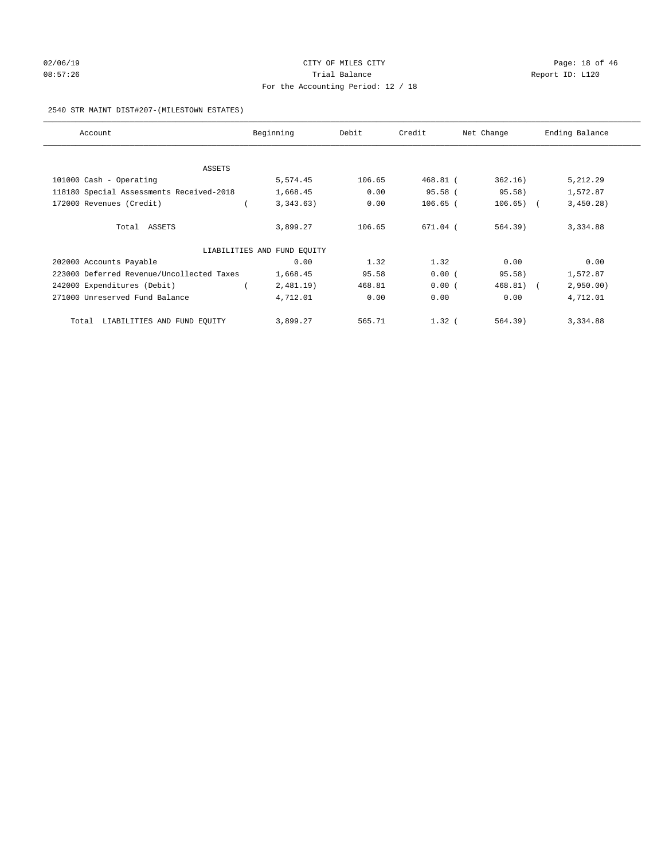# $O2/06/19$  Page: 18 of 46 08:57:26 **Trial Balance Constanting Constanting Constanting Constanting Constanting Constanting Constanting Constanting Constanting Constanting Constanting Constanting Constanting Constanting Constanting Constanting Cons** For the Accounting Period: 12 / 18

## 2540 STR MAINT DIST#207-(MILESTOWN ESTATES)

| Account                                   | Beginning                   | Debit  | Credit     | Net Change  | Ending Balance |
|-------------------------------------------|-----------------------------|--------|------------|-------------|----------------|
|                                           |                             |        |            |             |                |
| ASSETS                                    |                             |        |            |             |                |
| 101000 Cash - Operating                   | 5,574.45                    | 106.65 | $468.81$ ( | 362.16)     | 5,212.29       |
| 118180 Special Assessments Received-2018  | 1,668.45                    | 0.00   | $95.58$ (  | 95.58)      | 1,572.87       |
| 172000 Revenues (Credit)                  | 3,343.63)                   | 0.00   | $106.65$ ( | $106.65)$ ( | 3,450.28)      |
| Total ASSETS                              | 3,899.27                    | 106.65 | 671.04 (   | 564.39)     | 3,334.88       |
|                                           | LIABILITIES AND FUND EQUITY |        |            |             |                |
| 202000 Accounts Payable                   | 0.00                        | 1.32   | 1.32       | 0.00        | 0.00           |
| 223000 Deferred Revenue/Uncollected Taxes | 1,668.45                    | 95.58  | 0.00(      | 95.58)      | 1,572.87       |
| 242000 Expenditures (Debit)               | 2,481.19)                   | 468.81 | 0.00(      | $468.81$ (  | 2,950.00       |
| 271000 Unreserved Fund Balance            | 4,712.01                    | 0.00   | 0.00       | 0.00        | 4,712.01       |
| LIABILITIES AND FUND EQUITY<br>Total      | 3,899.27                    | 565.71 | $1.32$ (   | 564.39)     | 3,334.88       |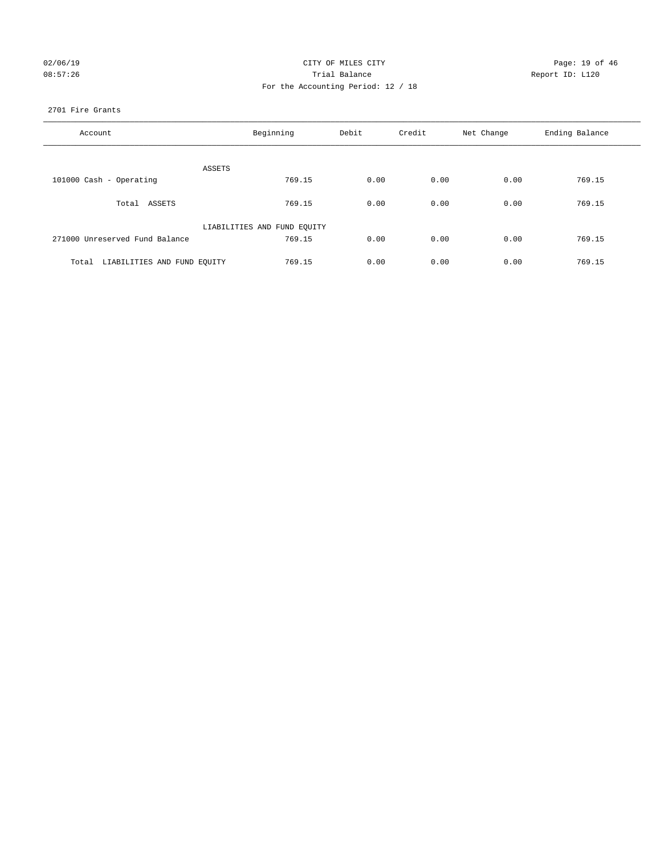| 02/06/19 |  |
|----------|--|
| 08:57:26 |  |

## CITY OF MILES CITY CONTROL CONTROL CONTROL CITY Partial Balance and Communications of the Report ID: L120 For the Accounting Period: 12 / 18

## 2701 Fire Grants

| Account                           | Beginning                   | Debit | Credit | Net Change | Ending Balance |
|-----------------------------------|-----------------------------|-------|--------|------------|----------------|
| ASSETS                            |                             |       |        |            |                |
| 101000 Cash - Operating           | 769.15                      | 0.00  | 0.00   | 0.00       | 769.15         |
| Total ASSETS                      | 769.15                      | 0.00  | 0.00   | 0.00       | 769.15         |
|                                   | LIABILITIES AND FUND EQUITY |       |        |            |                |
| 271000 Unreserved Fund Balance    | 769.15                      | 0.00  | 0.00   | 0.00       | 769.15         |
| Total LIABILITIES AND FUND EQUITY | 769.15                      | 0.00  | 0.00   | 0.00       | 769.15         |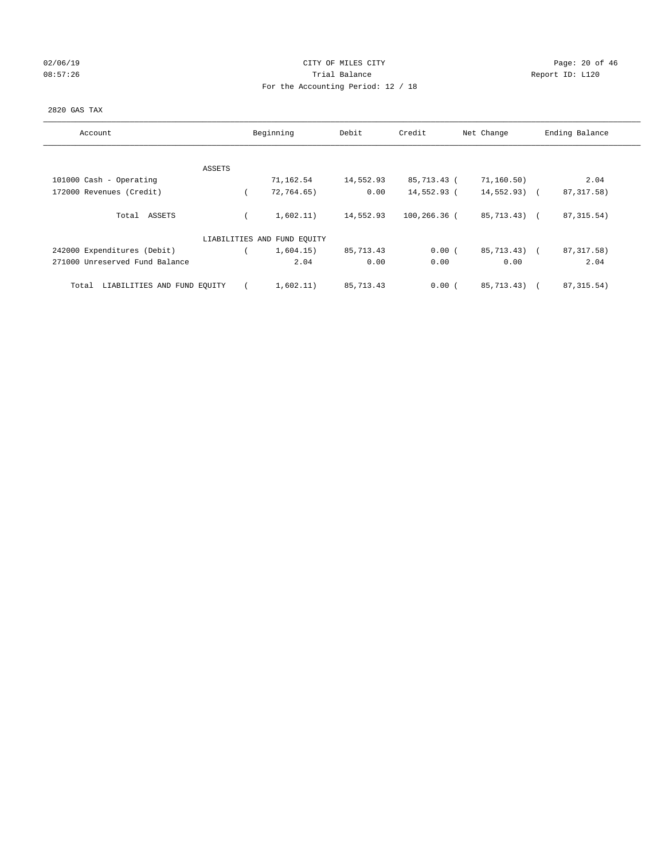## 02/06/19 Page: 20 of 46 08:57:26 Report ID: L120 For the Accounting Period: 12 / 18

## 2820 GAS TAX

| Account                              | Beginning                   | Debit     | Credit       | Net Change    | Ending Balance |
|--------------------------------------|-----------------------------|-----------|--------------|---------------|----------------|
|                                      |                             |           |              |               |                |
| ASSETS                               |                             |           |              |               | 2.04           |
| 101000 Cash - Operating              | 71,162.54                   | 14,552.93 | 85,713.43 (  | 71, 160.50)   |                |
| 172000 Revenues (Credit)             | 72,764.65)                  | 0.00      | 14,552.93 (  | $14,552.93$ ( | 87, 317.58)    |
| Total ASSETS                         | 1,602.11)                   | 14,552.93 | 100,266.36 ( | 85,713.43) (  | 87, 315.54)    |
|                                      | LIABILITIES AND FUND EQUITY |           |              |               |                |
| 242000 Expenditures (Debit)          | 1,604.15)                   | 85,713.43 | 0.00(        | 85,713.43) (  | 87, 317.58)    |
| 271000 Unreserved Fund Balance       | 2.04                        | 0.00      | 0.00         | 0.00          | 2.04           |
| LIABILITIES AND FUND EQUITY<br>Total | 1,602.11)                   | 85,713.43 | 0.00(        | 85,713.43)    | 87, 315.54)    |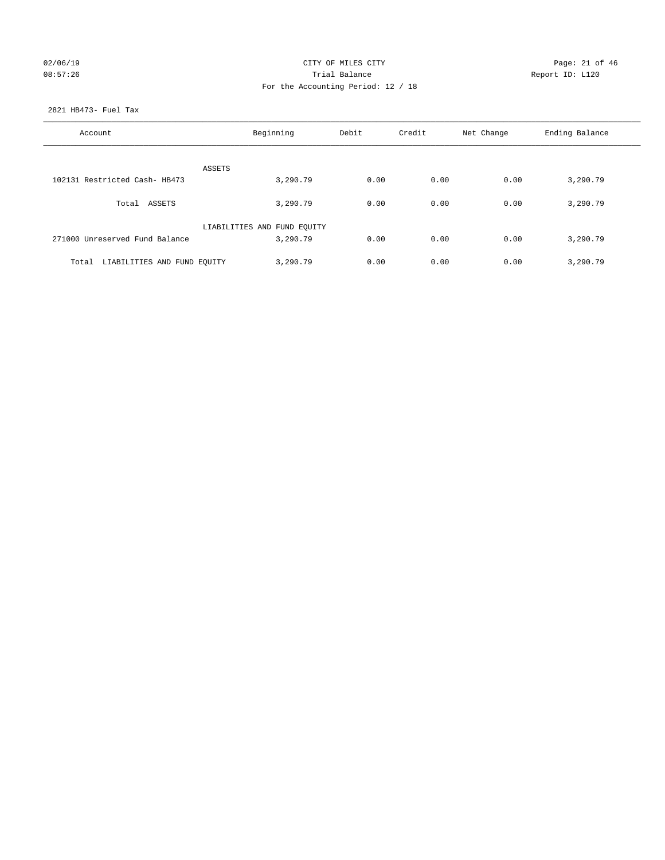## $O2/06/19$  Page: 21 of 46 08:57:26 **Trial Balance Constanting Constanting Constanting Constanting Constanting Constanting Constanting Constanting Constanting Constanting Constanting Constanting Constanting Constanting Constanting Constanting Cons** For the Accounting Period: 12 / 18

## 2821 HB473- Fuel Tax

| Account                           | Beginning                               |      | Debit<br>Credit<br>Net Change |      | Ending Balance |
|-----------------------------------|-----------------------------------------|------|-------------------------------|------|----------------|
| ASSETS                            |                                         |      |                               |      |                |
| 102131 Restricted Cash- HB473     | 3,290.79                                | 0.00 | 0.00                          | 0.00 | 3,290.79       |
| Total ASSETS                      | 3,290.79                                | 0.00 | 0.00                          | 0.00 | 3,290.79       |
| 271000 Unreserved Fund Balance    | LIABILITIES AND FUND EQUITY<br>3,290.79 | 0.00 | 0.00                          | 0.00 | 3,290.79       |
| Total LIABILITIES AND FUND EQUITY | 3,290.79                                | 0.00 | 0.00                          | 0.00 | 3,290.79       |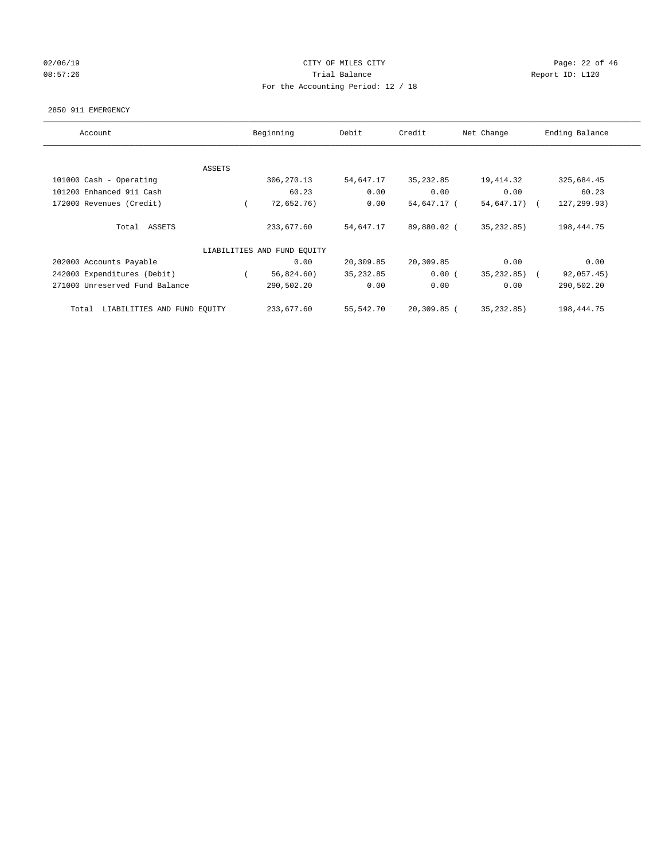## $O2/06/19$  Page: 22 of 46 08:57:26 Report ID: L120 For the Accounting Period: 12 / 18

#### 2850 911 EMERGENCY

| Account                              | Beginning |                             | Debit      | Credit<br>Net Change |                           | Ending Balance |
|--------------------------------------|-----------|-----------------------------|------------|----------------------|---------------------------|----------------|
|                                      |           |                             |            |                      |                           |                |
|                                      | ASSETS    |                             |            |                      |                           |                |
| 101000 Cash - Operating              |           | 306,270.13                  | 54,647.17  | 35, 232.85           | 19,414.32                 | 325,684.45     |
| 101200 Enhanced 911 Cash             |           | 60.23                       | 0.00       | 0.00                 | 0.00                      | 60.23          |
| 172000 Revenues (Credit)             |           | 72,652.76)                  | 0.00       | 54,647.17 (          | 54,647.17)                | 127,299.93)    |
|                                      |           |                             |            |                      |                           |                |
| Total ASSETS                         |           | 233,677.60                  | 54,647.17  | 89,880.02 (          | 35, 232.85)               | 198,444.75     |
|                                      |           |                             |            |                      |                           |                |
|                                      |           | LIABILITIES AND FUND EQUITY |            |                      |                           |                |
| 202000 Accounts Payable              |           | 0.00                        | 20,309.85  | 20,309.85            | 0.00                      | 0.00           |
| 242000 Expenditures (Debit)          |           | 56,824.60)                  | 35, 232.85 | 0.00(                | 35, 232.85)<br>$\sqrt{2}$ | 92,057.45)     |
| 271000 Unreserved Fund Balance       |           | 290,502.20                  | 0.00       | 0.00                 | 0.00                      | 290,502.20     |
|                                      |           |                             |            |                      |                           |                |
| LIABILITIES AND FUND EQUITY<br>Total |           | 233,677.60                  | 55,542.70  | $20,309.85$ (        | 35, 232.85)               | 198,444.75     |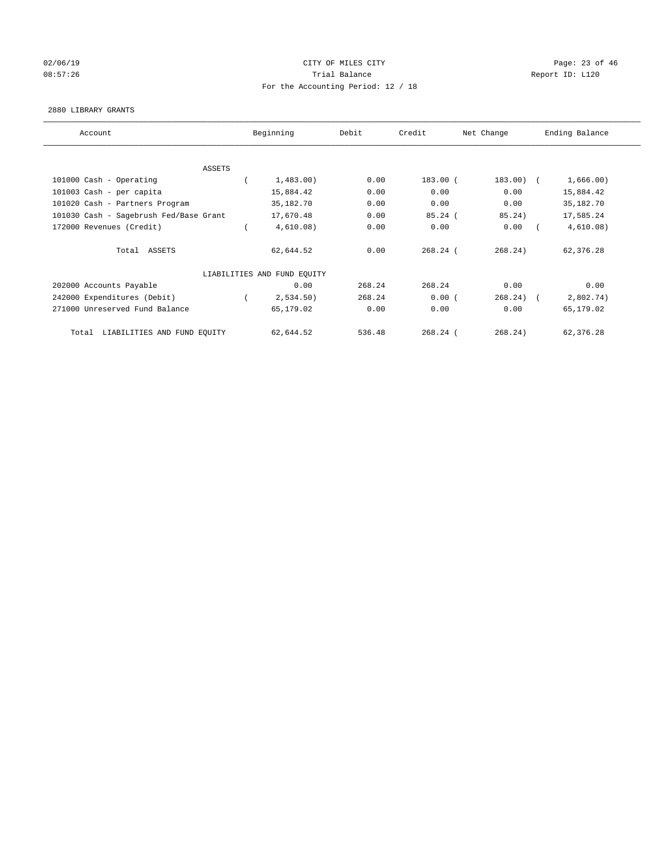# 02/06/19 Page: 23 of 46 08:57:26 Report ID: L120 For the Accounting Period: 12 / 18

### 2880 LIBRARY GRANTS

| Account                                | Beginning                   | Debit  | Credit     | Net Change   | Ending Balance |
|----------------------------------------|-----------------------------|--------|------------|--------------|----------------|
|                                        |                             |        |            |              |                |
| ASSETS                                 |                             |        |            |              |                |
| 101000 Cash - Operating                | 1,483.00)                   | 0.00   | 183.00 (   | 183.00) (    | 1,666.00)      |
| 101003 Cash - per capita               | 15,884.42                   | 0.00   | 0.00       | 0.00         | 15,884.42      |
| 101020 Cash - Partners Program         | 35,182.70                   | 0.00   | 0.00       | 0.00         | 35,182.70      |
| 101030 Cash - Sagebrush Fed/Base Grant | 17,670.48                   | 0.00   | 85.24(     | 85.24)       | 17,585.24      |
| 172000 Revenues (Credit)               | 4,610.08)                   | 0.00   | 0.00       | 0.00         | 4,610.08)      |
| Total ASSETS                           | 62,644.52                   | 0.00   | $268.24$ ( | 268.24)      | 62,376.28      |
|                                        | LIABILITIES AND FUND EQUITY |        |            |              |                |
| 202000 Accounts Payable                | 0.00                        | 268.24 | 268.24     | 0.00         | 0.00           |
| 242000 Expenditures (Debit)            | 2,534.50)                   | 268.24 | 0.00(      | $268.24$ ) ( | 2,802.74)      |
| 271000 Unreserved Fund Balance         | 65,179.02                   | 0.00   | 0.00       | 0.00         | 65,179.02      |
| LIABILITIES AND FUND EQUITY<br>Total   | 62,644.52                   | 536.48 | $268.24$ ( | 268.24)      | 62,376.28      |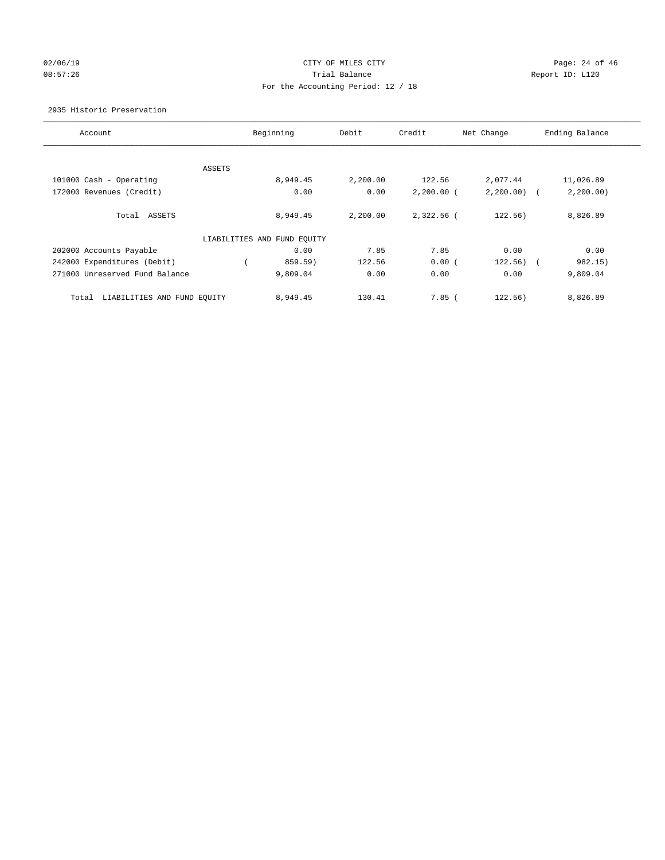## $O2/06/19$  Page: 24 of 46 08:57:26 Trial Balance Report ID: L120 For the Accounting Period: 12 / 18

2935 Historic Preservation

| Account                              |        | Beginning                   | Debit    | Credit       | Net Change | Ending Balance        |
|--------------------------------------|--------|-----------------------------|----------|--------------|------------|-----------------------|
|                                      |        |                             |          |              |            |                       |
|                                      | ASSETS |                             |          |              |            |                       |
| 101000 Cash - Operating              |        | 8,949.45                    | 2,200.00 | 122.56       | 2,077.44   | 11,026.89             |
| 172000 Revenues (Credit)             |        | 0.00                        | 0.00     | $2,200.00$ ( | 2,200.00)  | 2, 200.00)            |
| Total ASSETS                         |        | 8,949.45                    | 2,200.00 | $2,322.56$ ( | 122.56)    | 8,826.89              |
|                                      |        | LIABILITIES AND FUND EQUITY |          |              |            |                       |
| 202000 Accounts Payable              |        | 0.00                        | 7.85     | 7.85         | 0.00       | 0.00                  |
| 242000 Expenditures (Debit)          |        | 859.59)                     | 122.56   | 0.00(        | 122.56)    | 982.15)<br>$\sqrt{2}$ |
| 271000 Unreserved Fund Balance       |        | 9,809.04                    | 0.00     | 0.00         | 0.00       | 9,809.04              |
| LIABILITIES AND FUND EQUITY<br>Total |        | 8,949.45                    | 130.41   | 7.85(        | 122.56)    | 8,826.89              |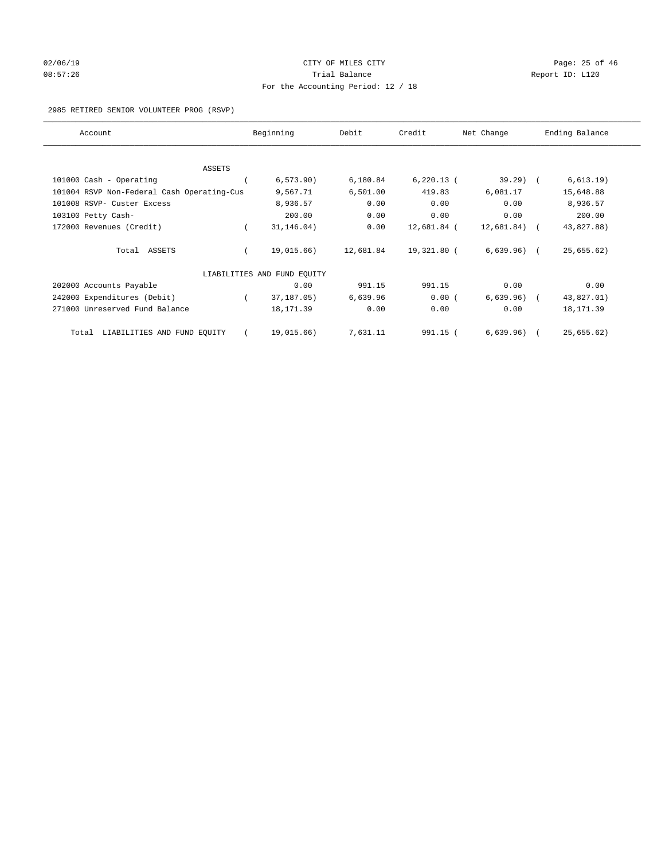# $O2/06/19$  Page: 25 of 46 08:57:26 Report ID: L120 For the Accounting Period: 12 / 18

## 2985 RETIRED SENIOR VOLUNTEER PROG (RSVP)

| Account                                    | Beginning                   | Debit     | Credit       | Net Change   | Ending Balance |
|--------------------------------------------|-----------------------------|-----------|--------------|--------------|----------------|
|                                            |                             |           |              |              |                |
| <b>ASSETS</b>                              |                             |           |              |              |                |
| 101000 Cash - Operating                    | 6, 573.90)                  | 6,180.84  | $6,220.13$ ( | $39.29$ (    | 6, 613.19)     |
| 101004 RSVP Non-Federal Cash Operating-Cus | 9,567.71                    | 6,501.00  | 419.83       | 6,081.17     | 15,648.88      |
| 101008 RSVP- Custer Excess                 | 8,936.57                    | 0.00      | 0.00         | 0.00         | 8,936.57       |
| 103100 Petty Cash-                         | 200.00                      | 0.00      | 0.00         | 0.00         | 200.00         |
| 172000 Revenues (Credit)                   | 31, 146.04)                 | 0.00      | 12,681.84 (  | 12,681.84)   | 43,827.88)     |
| Total ASSETS                               | 19,015.66)                  | 12,681.84 | 19,321.80 (  | $6,639.96$ ( | 25,655.62)     |
|                                            | LIABILITIES AND FUND EQUITY |           |              |              |                |
| 202000 Accounts Payable                    | 0.00                        | 991.15    | 991.15       | 0.00         | 0.00           |
| 242000 Expenditures (Debit)                | 37,187.05)                  | 6,639.96  | 0.00(        | 6,639.96)    | 43,827.01)     |
| 271000 Unreserved Fund Balance             | 18, 171.39                  | 0.00      | 0.00         | 0.00         | 18, 171.39     |
| LIABILITIES AND FUND EQUITY<br>Total       | 19,015.66)                  | 7,631.11  | 991.15 (     | 6,639.96)    | 25,655.62)     |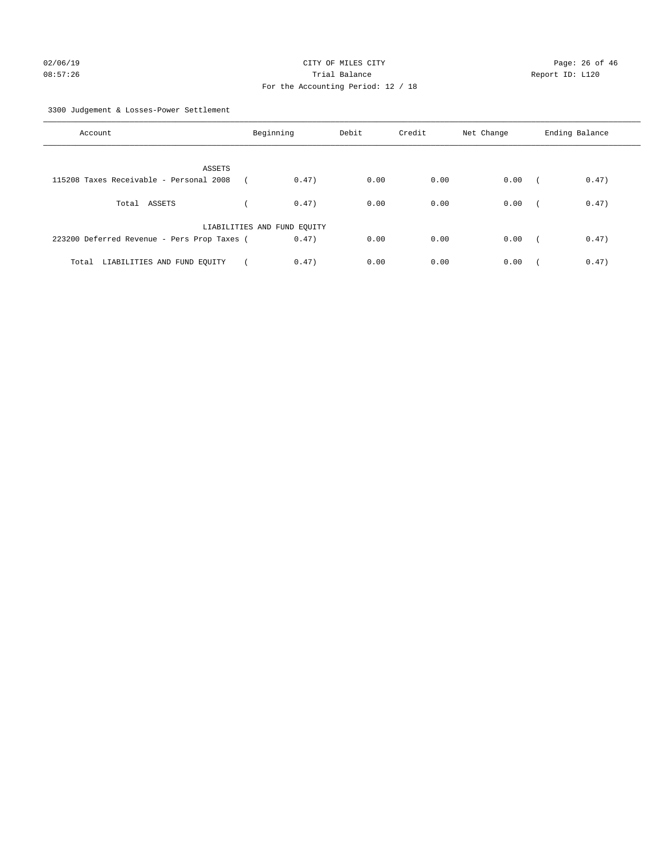3300 Judgement & Losses-Power Settlement

| Account                                     | Beginning                   |       | Debit | Credit | Net Change | Ending Balance |       |
|---------------------------------------------|-----------------------------|-------|-------|--------|------------|----------------|-------|
| ASSETS                                      |                             |       |       |        |            |                |       |
| 115208 Taxes Receivable - Personal 2008     |                             | 0.47) | 0.00  | 0.00   | 0.00       |                | 0.47) |
| Total ASSETS                                |                             | 0.47) | 0.00  | 0.00   | 0.00       | $\sqrt{2}$     | 0.47) |
|                                             | LIABILITIES AND FUND EQUITY |       |       |        |            |                |       |
| 223200 Deferred Revenue - Pers Prop Taxes ( |                             | 0.47) | 0.00  | 0.00   | 0.00       | $\sqrt{2}$     | 0.47) |
| Total LIABILITIES AND FUND EQUITY           |                             | 0.47) | 0.00  | 0.00   | 0.00       |                | 0.47) |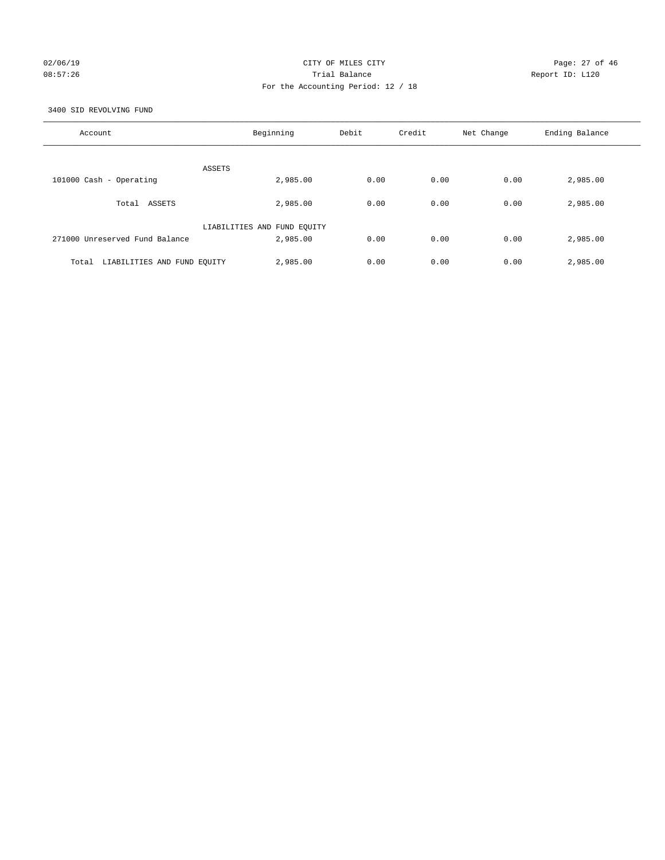## $O2/06/19$  Page: 27 of 46 08:57:26 Trial Balance Report ID: L120 For the Accounting Period: 12 / 18

3400 SID REVOLVING FUND

| Account                              | Beginning                   | Debit | Credit | Net Change | Ending Balance |
|--------------------------------------|-----------------------------|-------|--------|------------|----------------|
| ASSETS                               |                             |       |        |            |                |
| 101000 Cash - Operating              | 2,985.00                    | 0.00  | 0.00   | 0.00       | 2,985.00       |
| ASSETS<br>Total                      | 2,985.00                    | 0.00  | 0.00   | 0.00       | 2,985.00       |
|                                      | LIABILITIES AND FUND EQUITY |       |        |            |                |
| 271000 Unreserved Fund Balance       | 2,985.00                    | 0.00  | 0.00   | 0.00       | 2,985.00       |
| LIABILITIES AND FUND EQUITY<br>Total | 2,985.00                    | 0.00  | 0.00   | 0.00       | 2,985.00       |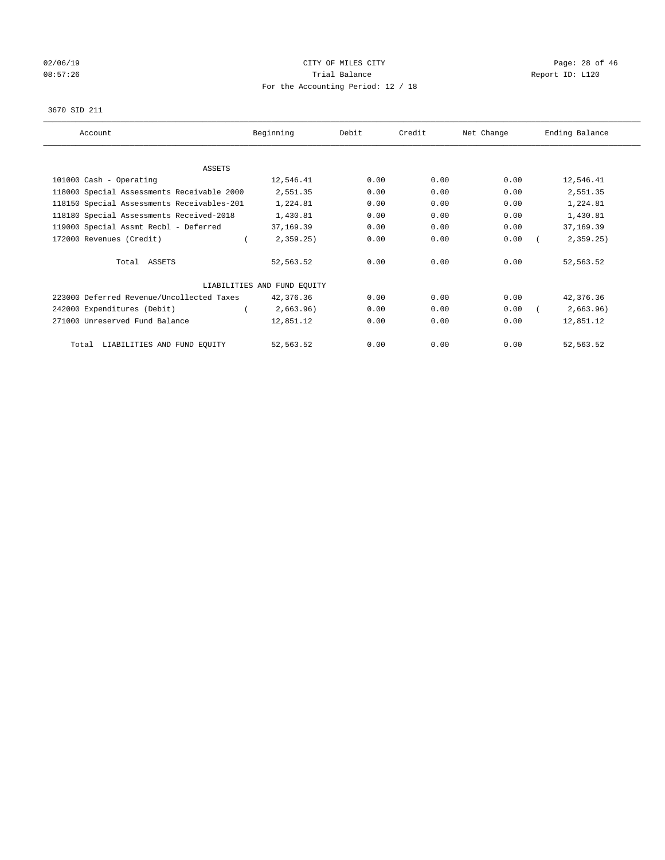# $O2/06/19$  Page: 28 of 46 08:57:26 **Trial Balance Constanting Constanting Constanting Constanting Constanting Constanting Constanting Constanting Constanting Constanting Constanting Constanting Constanting Constanting Constanting Constanting Cons** For the Accounting Period: 12 / 18

#### 3670 SID 211

| Account                                    | Beginning                   | Debit | Credit | Net Change | Ending Balance |
|--------------------------------------------|-----------------------------|-------|--------|------------|----------------|
| ASSETS                                     |                             |       |        |            |                |
| 101000 Cash - Operating                    | 12,546.41                   | 0.00  | 0.00   | 0.00       | 12,546.41      |
| 118000 Special Assessments Receivable 2000 | 2,551.35                    | 0.00  | 0.00   | 0.00       | 2,551.35       |
| 118150 Special Assessments Receivables-201 | 1,224.81                    | 0.00  | 0.00   | 0.00       | 1,224.81       |
| 118180 Special Assessments Received-2018   | 1,430.81                    | 0.00  | 0.00   | 0.00       | 1,430.81       |
| 119000 Special Assmt Recbl - Deferred      | 37,169.39                   | 0.00  | 0.00   | 0.00       | 37,169.39      |
| 172000 Revenues (Credit)                   | 2,359.25                    | 0.00  | 0.00   | 0.00       | 2, 359.25      |
| Total ASSETS                               | 52,563.52                   | 0.00  | 0.00   | 0.00       | 52, 563.52     |
|                                            | LIABILITIES AND FUND EQUITY |       |        |            |                |
| 223000 Deferred Revenue/Uncollected Taxes  | 42,376.36                   | 0.00  | 0.00   | 0.00       | 42,376.36      |
| 242000 Expenditures (Debit)                | 2,663.96)                   | 0.00  | 0.00   | 0.00       | 2,663.96)      |
| 271000 Unreserved Fund Balance             | 12,851.12                   | 0.00  | 0.00   | 0.00       | 12,851.12      |
| LIABILITIES AND FUND EQUITY<br>Total       | 52,563.52                   | 0.00  | 0.00   | 0.00       | 52, 563.52     |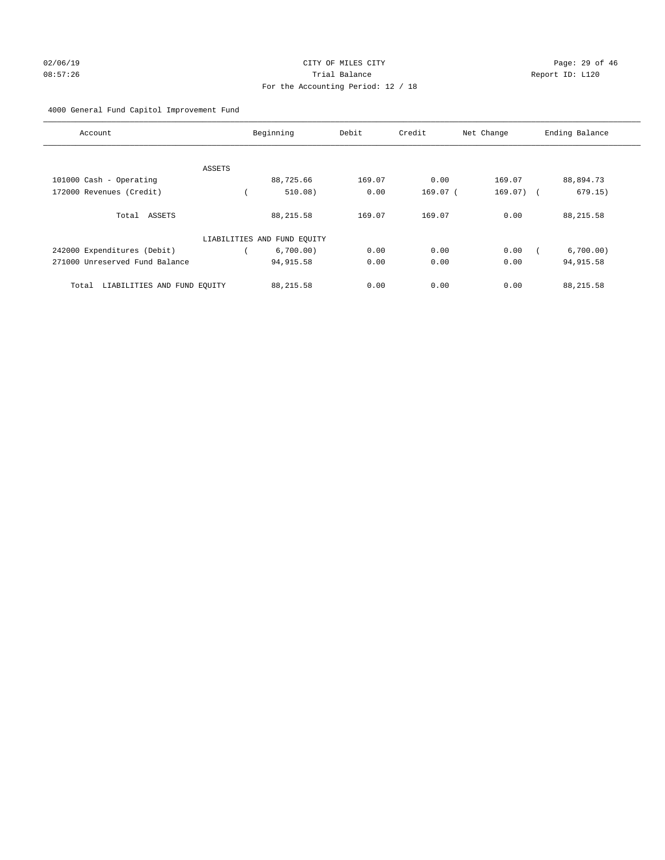# $O2/06/19$  Page: 29 of 46 08:57:26 Trial Balance Report ID: L120 For the Accounting Period: 12 / 18

## 4000 General Fund Capitol Improvement Fund

| Account                              | Beginning                   | Debit  | Credit  | Net Change | Ending Balance |
|--------------------------------------|-----------------------------|--------|---------|------------|----------------|
|                                      |                             |        |         |            |                |
| ASSETS<br>101000 Cash - Operating    | 88,725.66                   | 169.07 | 0.00    | 169.07     | 88,894.73      |
| 172000 Revenues (Credit)             | 510.08)                     | 0.00   | 169.07( | $169.07$ ( | 679.15)        |
| Total ASSETS                         | 88, 215.58                  | 169.07 | 169.07  | 0.00       | 88, 215.58     |
|                                      | LIABILITIES AND FUND EQUITY |        |         |            |                |
| 242000 Expenditures (Debit)          | 6,700.00)                   | 0.00   | 0.00    | 0.00       | 6,700.00)      |
| 271000 Unreserved Fund Balance       | 94, 915.58                  | 0.00   | 0.00    | 0.00       | 94, 915.58     |
| LIABILITIES AND FUND EQUITY<br>Total | 88, 215.58                  | 0.00   | 0.00    | 0.00       | 88, 215.58     |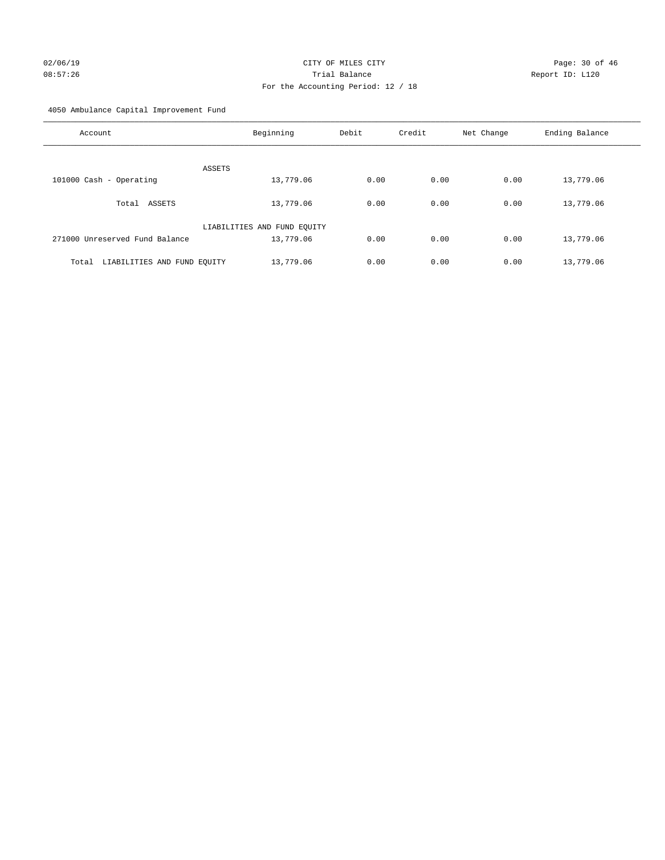# 02/06/19 Page: 30 of 46 08:57:26 Trial Balance Report ID: L120 For the Accounting Period: 12 / 18

4050 Ambulance Capital Improvement Fund

| Account                              | Beginning                   | Debit | Credit | Net Change | Ending Balance |
|--------------------------------------|-----------------------------|-------|--------|------------|----------------|
| ASSETS                               |                             |       |        |            |                |
| 101000 Cash - Operating              | 13,779.06                   | 0.00  | 0.00   | 0.00       | 13,779.06      |
| ASSETS<br>Total                      | 13,779.06                   | 0.00  | 0.00   | 0.00       | 13,779.06      |
|                                      | LIABILITIES AND FUND EQUITY |       |        |            |                |
| 271000 Unreserved Fund Balance       | 13,779.06                   | 0.00  | 0.00   | 0.00       | 13,779.06      |
| LIABILITIES AND FUND EQUITY<br>Total | 13,779.06                   | 0.00  | 0.00   | 0.00       | 13,779.06      |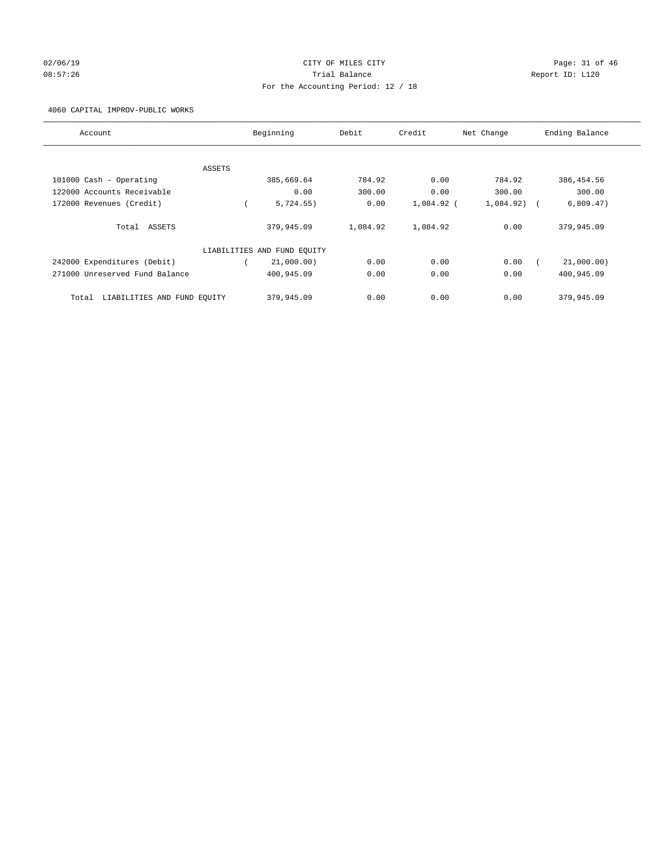# $O2/06/19$  Page: 31 of 46 08:57:26 Trial Balance Report ID: L120 For the Accounting Period: 12 / 18

4060 CAPITAL IMPROV-PUBLIC WORKS

| Account                              | Beginning                   | Debit    | Credit     | Net Change | Ending Balance          |
|--------------------------------------|-----------------------------|----------|------------|------------|-------------------------|
|                                      |                             |          |            |            |                         |
| ASSETS                               |                             |          |            |            |                         |
| 101000 Cash - Operating              | 385,669.64                  | 784.92   | 0.00       | 784.92     | 386, 454.56             |
| 122000 Accounts Receivable           | 0.00                        | 300.00   | 0.00       | 300.00     | 300.00                  |
| 172000 Revenues (Credit)             | 5,724.55)                   | 0.00     | 1,084.92 ( | 1,084.92)  | 6,809.47)<br>$\sqrt{2}$ |
| Total ASSETS                         | 379,945.09                  | 1,084.92 | 1,084.92   | 0.00       | 379,945.09              |
|                                      | LIABILITIES AND FUND EQUITY |          |            |            |                         |
| 242000 Expenditures (Debit)          | 21,000.00)                  | 0.00     | 0.00       | 0.00       | 21,000.00)              |
| 271000 Unreserved Fund Balance       | 400,945.09                  | 0.00     | 0.00       | 0.00       | 400,945.09              |
| LIABILITIES AND FUND EQUITY<br>Total | 379,945.09                  | 0.00     | 0.00       | 0.00       | 379,945.09              |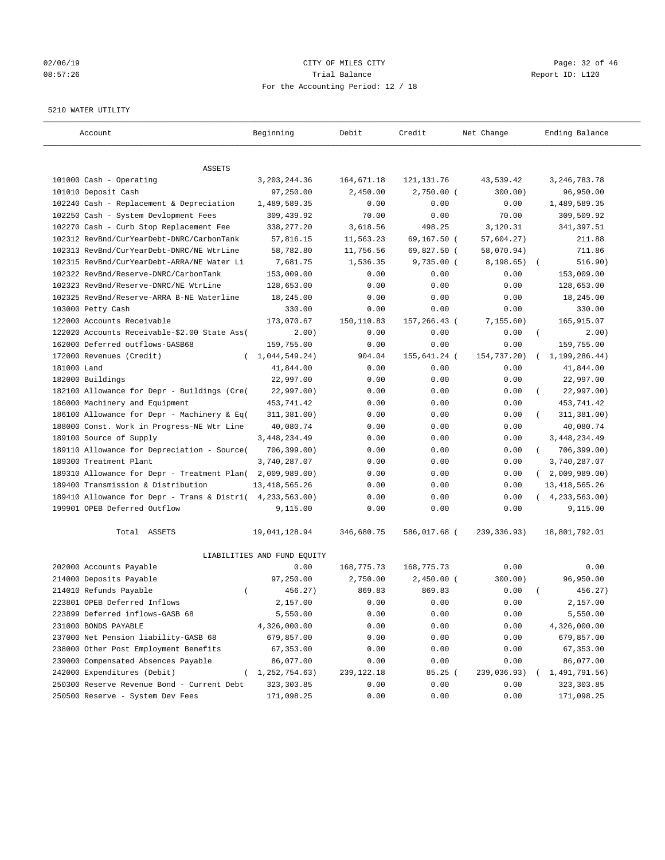# $O2/06/19$  Page: 32 of 46 08:57:26 Trial Balance Report ID: L120 For the Accounting Period: 12 / 18

#### 5210 WATER UTILITY

| Account                                                   | Beginning                   | Debit        | Credit       | Net Change   | Ending Balance             |
|-----------------------------------------------------------|-----------------------------|--------------|--------------|--------------|----------------------------|
|                                                           |                             |              |              |              |                            |
| ASSETS                                                    |                             |              |              |              |                            |
| 101000 Cash - Operating                                   | 3, 203, 244.36              | 164,671.18   | 121, 131. 76 | 43,539.42    | 3, 246, 783. 78            |
| 101010 Deposit Cash                                       | 97,250.00                   | 2,450.00     | $2,750.00$ ( | 300.00)      | 96,950.00                  |
| 102240 Cash - Replacement & Depreciation                  | 1,489,589.35                | 0.00         | 0.00         | 0.00         | 1,489,589.35               |
| 102250 Cash - System Devlopment Fees                      | 309,439.92                  | 70.00        | 0.00         | 70.00        | 309,509.92                 |
| 102270 Cash - Curb Stop Replacement Fee                   | 338, 277.20                 | 3,618.56     | 498.25       | 3,120.31     | 341,397.51                 |
| 102312 RevBnd/CurYearDebt-DNRC/CarbonTank                 | 57,816.15                   | 11,563.23    | 69,167.50 (  | 57,604.27)   | 211.88                     |
| 102313 RevBnd/CurYearDebt-DNRC/NE WtrLine                 | 58,782.80                   | 11,756.56    | 69,827.50 (  | 58,070.94)   | 711.86                     |
| 102315 RevBnd/CurYearDebt-ARRA/NE Water Li                | 7,681.75                    | 1,536.35     | $9,735.00$ ( | 8, 198.65)   | 516.90)<br>$\sqrt{2}$      |
| 102322 RevBnd/Reserve-DNRC/CarbonTank                     | 153,009.00                  | 0.00         | 0.00         | 0.00         | 153,009.00                 |
| 102323 RevBnd/Reserve-DNRC/NE WtrLine                     | 128,653.00                  | 0.00         | 0.00         | 0.00         | 128,653.00                 |
| 102325 RevBnd/Reserve-ARRA B-NE Waterline                 | 18,245.00                   | 0.00         | 0.00         | 0.00         | 18,245.00                  |
| 103000 Petty Cash                                         | 330.00                      | 0.00         | 0.00         | 0.00         | 330.00                     |
| 122000 Accounts Receivable                                | 173,070.67                  | 150,110.83   | 157,266.43 ( | 7, 155.60)   | 165,915.07                 |
| 122020 Accounts Receivable-\$2.00 State Ass(              | 2.00)                       | 0.00         | 0.00         | 0.00         | $\left($<br>2.00)          |
| 162000 Deferred outflows-GASB68                           | 159,755.00                  | 0.00         | 0.00         | 0.00         | 159,755.00                 |
| 172000 Revenues (Credit)<br>$\left($                      | 1,044,549.24)               | 904.04       | 155,641.24 ( | 154,737.20)  | 1,199,286.44)              |
| 181000 Land                                               | 41,844.00                   | 0.00         | 0.00         | 0.00         | 41,844.00                  |
| 182000 Buildings                                          | 22,997.00                   | 0.00         | 0.00         | 0.00         | 22,997.00                  |
| 182100 Allowance for Depr - Buildings (Cre(               | 22,997.00)                  | 0.00         | 0.00         | 0.00         | 22,997.00)                 |
| 186000 Machinery and Equipment                            | 453,741.42                  | 0.00         | 0.00         | 0.00         | 453,741.42                 |
| 186100 Allowance for Depr - Machinery & Eq(               | 311, 381.00)                | 0.00         | 0.00         | 0.00         | 311,381.00)                |
| 188000 Const. Work in Progress-NE Wtr Line                | 40,080.74                   | 0.00         | 0.00         | 0.00         | 40,080.74                  |
| 189100 Source of Supply                                   | 3,448,234.49                | 0.00         | 0.00         | 0.00         | 3, 448, 234.49             |
| 189110 Allowance for Depreciation - Source(               | 706, 399.00)                | 0.00         | 0.00         | 0.00         | 706, 399.00)<br>$\left($   |
| 189300 Treatment Plant                                    | 3,740,287.07                | 0.00         | 0.00         | 0.00         | 3,740,287.07               |
| 189310 Allowance for Depr - Treatment Plan(               | 2,009,989.00)               | 0.00         | 0.00         | 0.00         | 2,009,989.00<br>$\sqrt{2}$ |
| 189400 Transmission & Distribution                        | 13, 418, 565.26             | 0.00         | 0.00         | 0.00         | 13, 418, 565.26            |
| 189410 Allowance for Depr - Trans & Distri( 4,233,563.00) |                             | 0.00         | 0.00         | 0.00         | (4, 233, 563.00)           |
| 199901 OPEB Deferred Outflow                              | 9,115.00                    | 0.00         | 0.00         | 0.00         | 9,115.00                   |
| Total ASSETS                                              | 19,041,128.94               | 346,680.75   | 586,017.68 ( | 239, 336.93) | 18,801,792.01              |
|                                                           | LIABILITIES AND FUND EQUITY |              |              |              |                            |
| 202000 Accounts Payable                                   | 0.00                        | 168,775.73   | 168,775.73   | 0.00         | 0.00                       |
| 214000 Deposits Payable                                   | 97,250.00                   | 2,750.00     | $2,450.00$ ( | 300.00)      | 96,950.00                  |
| 214010 Refunds Payable<br>$\left($                        | 456.27)                     | 869.83       | 869.83       | 0.00         | 456.27                     |
| 223801 OPEB Deferred Inflows                              | 2,157.00                    | 0.00         | 0.00         | 0.00         | 2,157.00                   |
| 223899 Deferred inflows-GASB 68                           | 5,550.00                    | 0.00         | 0.00         | 0.00         | 5,550.00                   |
| 231000 BONDS PAYABLE                                      | 4,326,000.00                | 0.00         | 0.00         | 0.00         | 4,326,000.00               |
| 237000 Net Pension liability-GASB 68                      | 679,857.00                  | 0.00         | 0.00         | 0.00         | 679,857.00                 |
| 238000 Other Post Employment Benefits                     | 67,353.00                   | 0.00         | 0.00         | 0.00         | 67, 353.00                 |
| 239000 Compensated Absences Payable                       | 86,077.00                   | 0.00         | 0.00         | 0.00         | 86,077.00                  |
| 242000 Expenditures (Debit)                               | (1, 252, 754.63)            | 239, 122. 18 | 85.25(       | 239,036.93)  | 1,491,791.56)              |
| 250300 Reserve Revenue Bond - Current Debt                | 323, 303.85                 | 0.00         | 0.00         | 0.00         | 323, 303.85                |
| 250500 Reserve - System Dev Fees                          | 171,098.25                  | 0.00         | 0.00         | 0.00         | 171,098.25                 |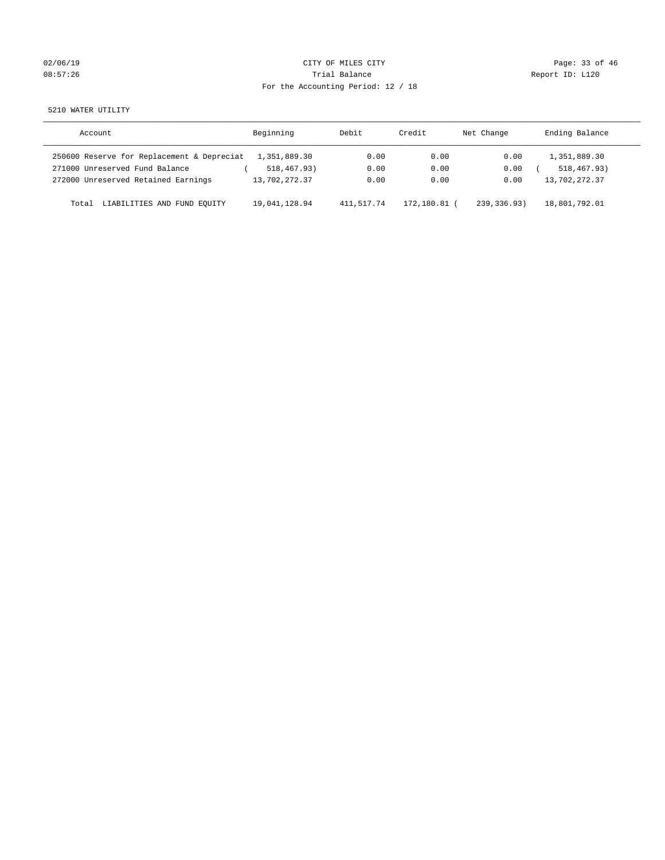|  | 02/06/19 |  |
|--|----------|--|
|  | 08:57:26 |  |

# CITY OF MILES CITY CONTROL CONTROL CITY CONTROL Page: 33 of 46 Prial Balance **Report ID:** L120 For the Accounting Period: 12 / 18

5210 WATER UTILITY

| Account                                    | Beginning     | Debit      | Credit     | Net Change  | Ending Balance |
|--------------------------------------------|---------------|------------|------------|-------------|----------------|
| 250600 Reserve for Replacement & Depreciat | 1,351,889.30  | 0.00       | 0.00       | 0.00        | 1,351,889.30   |
| 271000 Unreserved Fund Balance             | 518,467.93)   | 0.00       | 0.00       | 0.00        | 518, 467, 93)  |
| 272000 Unreserved Retained Earnings        | 13,702,272.37 | 0.00       | 0.00       | 0.00        | 13,702,272.37  |
| LIABILITIES AND FUND EOUITY<br>Total       | 19,041,128.94 | 411,517.74 | 172,180.81 | 239,336.93) | 18,801,792.01  |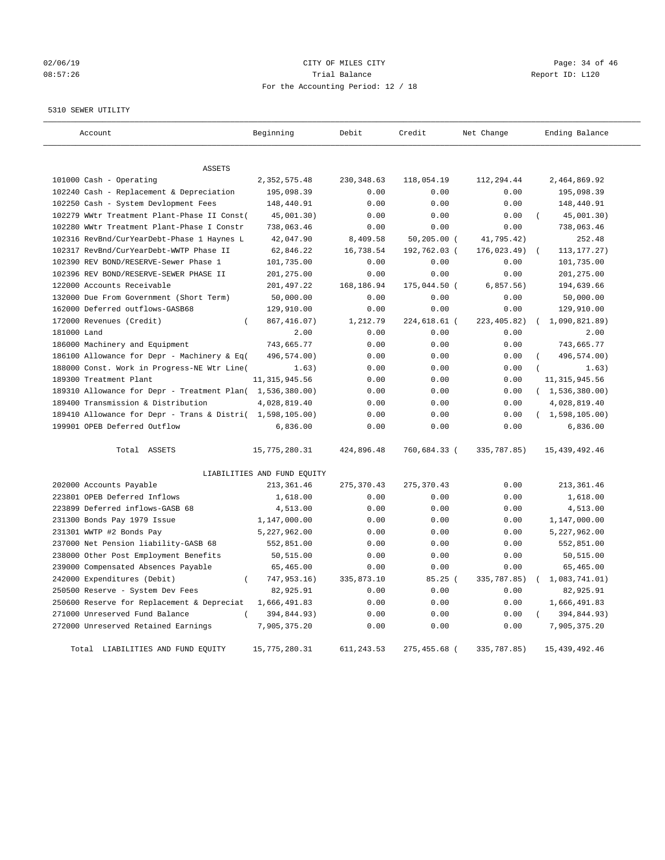# $O2/06/19$  Page: 34 of 46 08:57:26 Trial Balance Report ID: L120 For the Accounting Period: 12 / 18

#### 5310 SEWER UTILITY

| Account                                                                                         | Beginning                   | Debit       | Credit         | Net Change   | Ending Balance              |
|-------------------------------------------------------------------------------------------------|-----------------------------|-------------|----------------|--------------|-----------------------------|
| <b>ASSETS</b>                                                                                   |                             |             |                |              |                             |
| 101000 Cash - Operating                                                                         | 2, 352, 575.48              | 230, 348.63 | 118,054.19     | 112,294.44   | 2,464,869.92                |
| 102240 Cash - Replacement & Depreciation                                                        | 195,098.39                  | 0.00        | 0.00           | 0.00         | 195,098.39                  |
| 102250 Cash - System Devlopment Fees                                                            | 148,440.91                  | 0.00        | 0.00           | 0.00         | 148,440.91                  |
| 102279 WWtr Treatment Plant-Phase II Const(                                                     | 45,001.30)                  | 0.00        | 0.00           | 0.00         | 45,001.30)                  |
| 102280 WWtr Treatment Plant-Phase I Constr                                                      | 738,063.46                  | 0.00        | 0.00           | 0.00         | 738,063.46                  |
| 102316 RevBnd/CurYearDebt-Phase 1 Haynes L                                                      | 42,047.90                   | 8,409.58    | $50, 205.00$ ( | 41,795.42)   | 252.48                      |
| 102317 RevBnd/CurYearDebt-WWTP Phase II                                                         | 62,846.22                   | 16,738.54   | 192,762.03 (   | 176,023.49)  | 113, 177. 27)<br>$\sqrt{ }$ |
| 102390 REV BOND/RESERVE-Sewer Phase 1                                                           | 101,735.00                  | 0.00        | 0.00           | 0.00         | 101,735.00                  |
| 102396 REV BOND/RESERVE-SEWER PHASE II                                                          | 201,275.00                  | 0.00        | 0.00           | 0.00         | 201,275.00                  |
| 122000 Accounts Receivable                                                                      | 201,497.22                  | 168,186.94  | 175,044.50 (   | 6,857.56)    | 194,639.66                  |
| 132000 Due From Government (Short Term)                                                         | 50,000.00                   | 0.00        | 0.00           | 0.00         | 50,000.00                   |
| 162000 Deferred outflows-GASB68                                                                 | 129,910.00                  | 0.00        | 0.00           | 0.00         | 129,910.00                  |
| 172000 Revenues (Credit)<br>$\left($                                                            | 867, 416.07)                | 1,212.79    | 224,618.61 (   | 223, 405.82) | 1,090,821.89)<br>$\sqrt{2}$ |
| 181000 Land                                                                                     | 2.00                        | 0.00        | 0.00           | 0.00         | 2.00                        |
| 186000 Machinery and Equipment                                                                  | 743,665.77                  | 0.00        | 0.00           | 0.00         | 743,665.77                  |
| 186100 Allowance for Depr - Machinery & Eq(                                                     | 496,574.00)                 | 0.00        | 0.00           | 0.00         | 496,574.00)                 |
| 188000 Const. Work in Progress-NE Wtr Line(                                                     | 1.63)                       | 0.00        | 0.00           | 0.00         | 1.63)                       |
| 189300 Treatment Plant                                                                          | 11, 315, 945.56             | 0.00        | 0.00           | 0.00         | 11, 315, 945.56             |
|                                                                                                 |                             | 0.00        | 0.00           | 0.00         | (1,536,380.00)              |
| 189310 Allowance for Depr - Treatment Plan( 1,536,380.00)<br>189400 Transmission & Distribution | 4,028,819.40                |             |                | 0.00         |                             |
|                                                                                                 |                             | 0.00        | 0.00           |              | 4,028,819.40                |
| 189410 Allowance for Depr - Trans & Distri( 1,598,105.00)                                       |                             | 0.00        | 0.00           | 0.00         | (1,598,105.00)              |
| 199901 OPEB Deferred Outflow                                                                    | 6,836.00                    | 0.00        | 0.00           | 0.00         | 6,836.00                    |
| Total ASSETS                                                                                    | 15,775,280.31               | 424,896.48  | 760,684.33 (   | 335,787.85)  | 15, 439, 492.46             |
|                                                                                                 | LIABILITIES AND FUND EQUITY |             |                |              |                             |
| 202000 Accounts Payable                                                                         | 213, 361.46                 | 275, 370.43 | 275, 370.43    | 0.00         | 213, 361.46                 |
| 223801 OPEB Deferred Inflows                                                                    | 1,618.00                    | 0.00        | 0.00           | 0.00         | 1,618.00                    |
| 223899 Deferred inflows-GASB 68                                                                 | 4,513.00                    | 0.00        | 0.00           | 0.00         | 4,513.00                    |
| 231300 Bonds Pay 1979 Issue                                                                     | 1,147,000.00                | 0.00        | 0.00           | 0.00         | 1,147,000.00                |
| 231301 WWTP #2 Bonds Pay                                                                        | 5,227,962.00                | 0.00        | 0.00           | 0.00         | 5,227,962.00                |
| 237000 Net Pension liability-GASB 68                                                            | 552,851.00                  | 0.00        | 0.00           | 0.00         | 552,851.00                  |
| 238000 Other Post Employment Benefits                                                           | 50,515.00                   | 0.00        | 0.00           | 0.00         | 50,515.00                   |
| 239000 Compensated Absences Payable                                                             | 65,465.00                   | 0.00        | 0.00           | 0.00         | 65,465.00                   |
| 242000 Expenditures (Debit)<br>$\left($                                                         | 747,953.16)                 | 335,873.10  | 85.25(         | 335,787.85)  | 1,083,741.01)               |
| 250500 Reserve - System Dev Fees                                                                | 82,925.91                   | 0.00        | 0.00           | 0.00         | 82,925.91                   |
| 250600 Reserve for Replacement & Depreciat                                                      | 1,666,491.83                | 0.00        | 0.00           | 0.00         | 1,666,491.83                |
| 271000 Unreserved Fund Balance                                                                  | 394,844.93)                 | 0.00        | 0.00           | 0.00         | $\left($<br>394,844.93)     |
| 272000 Unreserved Retained Earnings                                                             | 7,905,375.20                | 0.00        | 0.00           | 0.00         | 7,905,375.20                |
| Total LIABILITIES AND FUND EQUITY                                                               | 15,775,280.31               | 611, 243.53 | 275,455.68 (   | 335,787.85)  | 15, 439, 492.46             |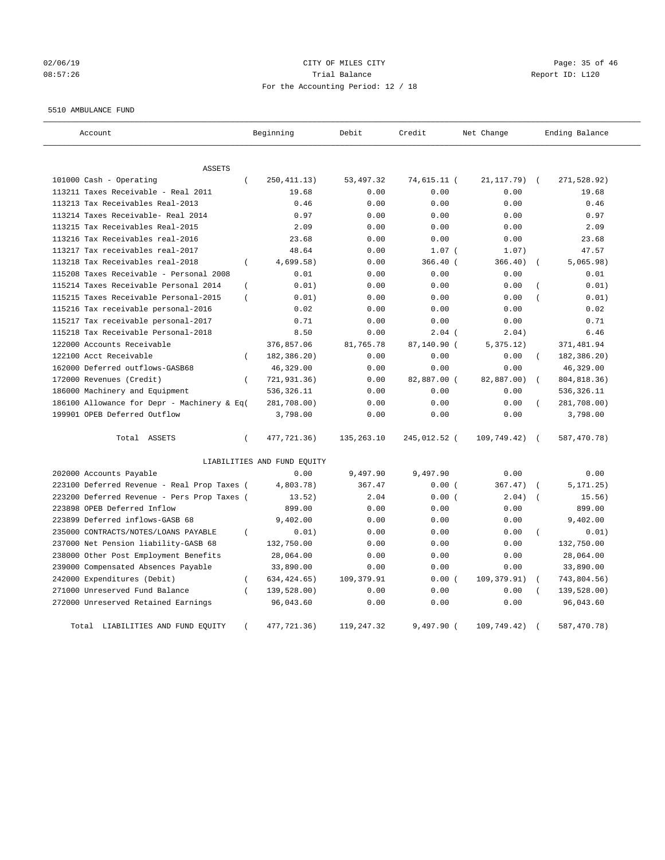# $O2/06/19$  Page: 35 of 46 08:57:26 Trial Balance Report ID: L120 For the Accounting Period: 12 / 18

#### 5510 AMBULANCE FUND

| Account                                     |                | Beginning                   | Debit      | Credit       | Net Change   |                  | Ending Balance |
|---------------------------------------------|----------------|-----------------------------|------------|--------------|--------------|------------------|----------------|
| <b>ASSETS</b>                               |                |                             |            |              |              |                  |                |
| 101000 Cash - Operating                     | $\left($       | 250, 411.13)                | 53, 497.32 | 74,615.11 (  | 21, 117.79)  | $\sqrt{2}$       | 271,528.92)    |
| 113211 Taxes Receivable - Real 2011         |                | 19.68                       | 0.00       | 0.00         | 0.00         |                  | 19.68          |
| 113213 Tax Receivables Real-2013            |                | 0.46                        | 0.00       | 0.00         | 0.00         |                  | 0.46           |
| 113214 Taxes Receivable- Real 2014          |                | 0.97                        | 0.00       | 0.00         | 0.00         |                  | 0.97           |
| 113215 Tax Receivables Real-2015            |                | 2.09                        | 0.00       | 0.00         | 0.00         |                  | 2.09           |
| 113216 Tax Receivables real-2016            |                | 23.68                       | 0.00       | 0.00         | 0.00         |                  | 23.68          |
| 113217 Tax receivables real-2017            |                | 48.64                       | 0.00       | $1.07$ (     | 1.07)        |                  | 47.57          |
| 113218 Tax Receivables real-2018            | $\left($       | 4,699.58)                   | 0.00       | 366.40 (     | 366.40)      |                  | 5,065.98)      |
| 115208 Taxes Receivable - Personal 2008     |                | 0.01                        | 0.00       | 0.00         | 0.00         |                  | 0.01           |
| 115214 Taxes Receivable Personal 2014       | $\overline{ }$ | 0.01)                       | 0.00       | 0.00         | 0.00         |                  | 0.01)          |
| 115215 Taxes Receivable Personal-2015       | $\left($       | 0.01)                       | 0.00       | 0.00         | 0.00         |                  | 0.01)          |
| 115216 Tax receivable personal-2016         |                | 0.02                        | 0.00       | 0.00         | 0.00         |                  | 0.02           |
| 115217 Tax receivable personal-2017         |                | 0.71                        | 0.00       | 0.00         | 0.00         |                  | 0.71           |
| 115218 Tax Receivable Personal-2018         |                | 8.50                        | 0.00       | $2.04$ (     | 2.04)        |                  | 6.46           |
| 122000 Accounts Receivable                  |                | 376,857.06                  | 81,765.78  | 87,140.90 (  | 5,375.12)    |                  | 371,481.94     |
| 122100 Acct Receivable                      | $\left($       | 182,386.20)                 | 0.00       | 0.00         | 0.00         | $\left($         | 182,386.20)    |
| 162000 Deferred outflows-GASB68             |                | 46,329.00                   | 0.00       | 0.00         | 0.00         |                  | 46,329.00      |
| 172000 Revenues (Credit)                    | $\overline{ }$ | 721,931.36)                 | 0.00       | 82,887.00 (  | 82,887.00)   |                  | 804,818.36)    |
| 186000 Machinery and Equipment              |                | 536,326.11                  | 0.00       | 0.00         | 0.00         |                  | 536,326.11     |
| 186100 Allowance for Depr - Machinery & Eq( |                | 281,708.00)                 | 0.00       | 0.00         | 0.00         |                  | 281,708.00)    |
| 199901 OPEB Deferred Outflow                |                | 3,798.00                    | 0.00       | 0.00         | 0.00         |                  | 3,798.00       |
| Total ASSETS                                | $\left($       | 477,721.36)                 | 135,263.10 | 245,012.52 ( | 109,749.42)  | $\sqrt{2}$       | 587,470.78)    |
|                                             |                | LIABILITIES AND FUND EQUITY |            |              |              |                  |                |
| 202000 Accounts Payable                     |                | 0.00                        | 9,497.90   | 9,497.90     | 0.00         |                  | 0.00           |
| 223100 Deferred Revenue - Real Prop Taxes ( |                | 4,803.78)                   | 367.47     | 0.00(        | 367.47)      |                  | 5, 171.25)     |
| 223200 Deferred Revenue - Pers Prop Taxes ( |                | 13.52)                      | 2.04       | 0.00(        | 2.04)        |                  | 15.56)         |
| 223898 OPEB Deferred Inflow                 |                | 899.00                      | 0.00       | 0.00         | 0.00         |                  | 899.00         |
| 223899 Deferred inflows-GASB 68             |                | 9,402.00                    | 0.00       | 0.00         | 0.00         |                  | 9,402.00       |
| 235000 CONTRACTS/NOTES/LOANS PAYABLE        | $\overline{ }$ | 0.01)                       | 0.00       | 0.00         | 0.00         | $\overline{(\ }$ | 0.01)          |
| 237000 Net Pension liability-GASB 68        |                | 132,750.00                  | 0.00       | 0.00         | 0.00         |                  | 132,750.00     |
| 238000 Other Post Employment Benefits       |                | 28,064.00                   | 0.00       | 0.00         | 0.00         |                  | 28,064.00      |
| 239000 Compensated Absences Payable         |                | 33,890.00                   | 0.00       | 0.00         | 0.00         |                  | 33,890.00      |
| 242000 Expenditures (Debit)                 | $\left($       | 634, 424. 65)               | 109,379.91 | 0.00(        | 109, 379.91) |                  | 743,804.56)    |
| 271000 Unreserved Fund Balance              |                | 139,528.00)                 | 0.00       | 0.00         | 0.00         |                  | 139,528.00)    |
| 272000 Unreserved Retained Earnings         |                | 96,043.60                   | 0.00       | 0.00         | 0.00         |                  | 96,043.60      |
| Total LIABILITIES AND FUND EQUITY           |                | 477, 721.36)                | 119,247.32 | $9,497.90$ ( | 109,749.42)  |                  | 587,470.78)    |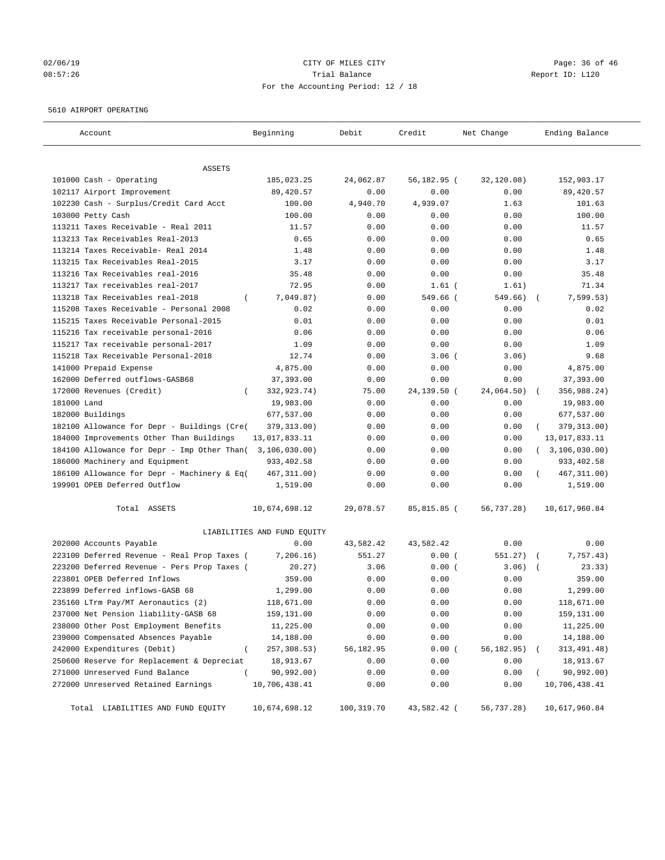# $O2/06/19$  Page: 36 of 46 08:57:26 Trial Balance Report ID: L120 For the Accounting Period: 12 / 18

#### 5610 AIRPORT OPERATING

| Account                                                   | Beginning                   | Debit      | Credit      | Net Change | Ending Balance   |
|-----------------------------------------------------------|-----------------------------|------------|-------------|------------|------------------|
| ASSETS                                                    |                             |            |             |            |                  |
| 101000 Cash - Operating                                   | 185,023.25                  | 24,062.87  | 56,182.95 ( | 32,120.08) | 152,903.17       |
| 102117 Airport Improvement                                | 89,420.57                   | 0.00       | 0.00        | 0.00       | 89,420.57        |
| 102230 Cash - Surplus/Credit Card Acct                    | 100.00                      | 4,940.70   | 4,939.07    | 1.63       | 101.63           |
| 103000 Petty Cash                                         | 100.00                      | 0.00       | 0.00        | 0.00       | 100.00           |
| 113211 Taxes Receivable - Real 2011                       | 11.57                       | 0.00       | 0.00        | 0.00       | 11.57            |
| 113213 Tax Receivables Real-2013                          | 0.65                        | 0.00       | 0.00        | 0.00       | 0.65             |
| 113214 Taxes Receivable- Real 2014                        | 1.48                        | 0.00       | 0.00        | 0.00       | 1.48             |
| 113215 Tax Receivables Real-2015                          | 3.17                        | 0.00       | 0.00        | 0.00       | 3.17             |
| 113216 Tax Receivables real-2016                          | 35.48                       | 0.00       | 0.00        | 0.00       | 35.48            |
| 113217 Tax receivables real-2017                          | 72.95                       | 0.00       | $1.61$ (    | 1.61)      | 71.34            |
| 113218 Tax Receivables real-2018<br>$\left($              | 7,049.87)                   | 0.00       | 549.66 (    | 549.66)    | 7,599.53)        |
| 115208 Taxes Receivable - Personal 2008                   | 0.02                        | 0.00       | 0.00        | 0.00       | 0.02             |
| 115215 Taxes Receivable Personal-2015                     | 0.01                        | 0.00       | 0.00        | 0.00       | 0.01             |
| 115216 Tax receivable personal-2016                       | 0.06                        | 0.00       | 0.00        | 0.00       | 0.06             |
| 115217 Tax receivable personal-2017                       | 1.09                        | 0.00       | 0.00        | 0.00       | 1.09             |
| 115218 Tax Receivable Personal-2018                       | 12.74                       | 0.00       | $3.06$ (    | 3.06)      | 9.68             |
| 141000 Prepaid Expense                                    | 4,875.00                    | 0.00       | 0.00        | 0.00       | 4,875.00         |
| 162000 Deferred outflows-GASB68                           | 37,393.00                   | 0.00       | 0.00        | 0.00       | 37,393.00        |
| 172000 Revenues (Credit)<br>$\left($                      | 332,923.74)                 | 75.00      | 24,139.50 ( | 24,064.50) | 356,988.24)      |
| 181000 Land                                               | 19,983.00                   | 0.00       | 0.00        | 0.00       | 19,983.00        |
| 182000 Buildings                                          | 677,537.00                  | 0.00       | 0.00        | 0.00       | 677,537.00       |
| 182100 Allowance for Depr - Buildings (Cre(               | 379, 313.00)                | 0.00       | 0.00        | 0.00       | 379, 313.00)     |
| 184000 Improvements Other Than Buildings                  | 13,017,833.11               | 0.00       | 0.00        | 0.00       | 13,017,833.11    |
| 184100 Allowance for Depr - Imp Other Than( 3,106,030.00) |                             | 0.00       | 0.00        | 0.00       | (3, 106, 030.00) |
| 186000 Machinery and Equipment                            | 933,402.58                  | 0.00       | 0.00        | 0.00       | 933,402.58       |
| 186100 Allowance for Depr - Machinery & Eq(               | 467, 311.00)                | 0.00       | 0.00        | 0.00       | 467, 311.00)     |
| 199901 OPEB Deferred Outflow                              | 1,519.00                    | 0.00       | 0.00        | 0.00       | 1,519.00         |
|                                                           |                             |            |             |            |                  |
| Total ASSETS                                              | 10,674,698.12               | 29,078.57  | 85,815.85 ( | 56,737.28) | 10,617,960.84    |
|                                                           | LIABILITIES AND FUND EQUITY |            |             |            |                  |
| 202000 Accounts Payable                                   | 0.00                        | 43,582.42  | 43,582.42   | 0.00       | 0.00             |
| 223100 Deferred Revenue - Real Prop Taxes (               | 7,206.16)                   | 551.27     | 0.00(       | 551.27)    | 7,757.43)        |
| 223200 Deferred Revenue - Pers Prop Taxes (               | 20.27)                      | 3.06       | 0.00(       | 3.06)      | 23.33)           |
| 223801 OPEB Deferred Inflows                              | 359.00                      | 0.00       | 0.00        | 0.00       | 359.00           |
| 223899 Deferred inflows-GASB 68                           | 1,299.00                    | 0.00       | 0.00        | 0.00       | 1,299.00         |
| 235160 LTrm Pay/MT Aeronautics (2)                        | 118,671.00                  | 0.00       | 0.00        | 0.00       | 118,671.00       |
| 237000 Net Pension liability-GASB 68                      | 159,131.00                  | 0.00       | 0.00        | 0.00       | 159,131.00       |
| 238000 Other Post Employment Benefits                     | 11,225.00                   | 0.00       | 0.00        | 0.00       | 11,225.00        |
| 239000 Compensated Absences Payable                       | 14,188.00                   | 0.00       | 0.00        | 0.00       | 14,188.00        |
| 242000 Expenditures (Debit)<br>$\overline{(\ }$           | 257, 308.53)                | 56,182.95  | 0.00(       | 56,182.95) | 313, 491.48)     |
| 250600 Reserve for Replacement & Depreciat                | 18,913.67                   | 0.00       | 0.00        | 0.00       | 18,913.67        |
| 271000 Unreserved Fund Balance                            | 90,992.00)                  | 0.00       | 0.00        | 0.00       | 90,992.00)       |
| 272000 Unreserved Retained Earnings                       | 10,706,438.41               | 0.00       | 0.00        | 0.00       | 10,706,438.41    |
| Total LIABILITIES AND FUND EQUITY                         | 10,674,698.12               | 100,319.70 | 43,582.42 ( | 56,737.28) | 10,617,960.84    |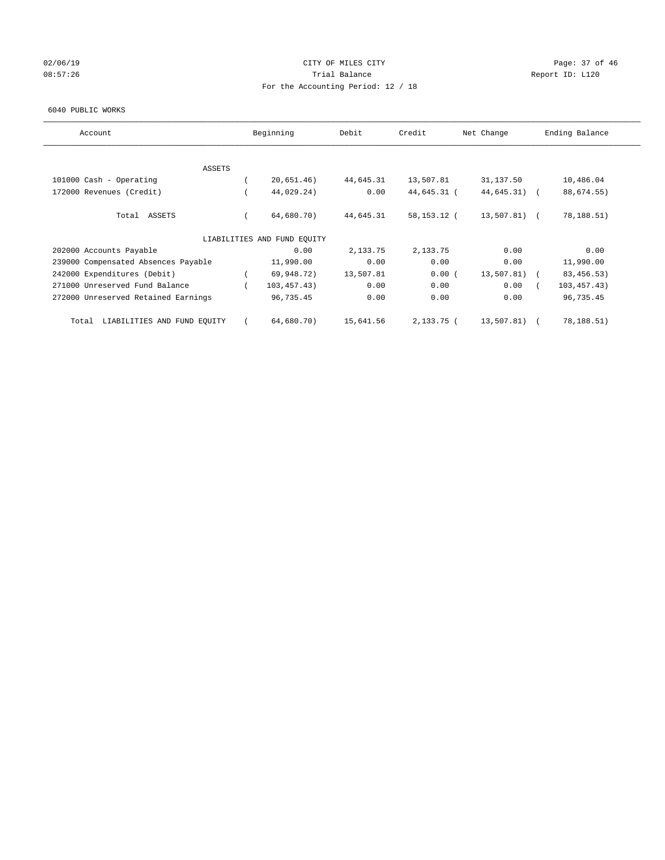## $O2/06/19$  Page: 37 of 46 08:57:26 Report ID: L120 For the Accounting Period: 12 / 18

#### 6040 PUBLIC WORKS

| Account                              | Beginning                   | Debit     | Credit      | Net Change    | Ending Balance |
|--------------------------------------|-----------------------------|-----------|-------------|---------------|----------------|
|                                      |                             |           |             |               |                |
| <b>ASSETS</b>                        |                             |           |             |               |                |
| 101000 Cash - Operating              | 20,651.46)                  | 44,645.31 | 13,507.81   | 31,137.50     | 10,486.04      |
| 172000 Revenues (Credit)             | 44,029.24)                  | 0.00      | 44,645.31 ( | $44,645.31$ ( | 88,674.55)     |
| Total ASSETS                         | 64,680.70)                  | 44,645.31 | 58,153.12 ( | 13,507.81) (  | 78,188.51)     |
|                                      | LIABILITIES AND FUND EQUITY |           |             |               |                |
| 202000 Accounts Payable              | 0.00                        | 2,133.75  | 2,133.75    | 0.00          | 0.00           |
| 239000 Compensated Absences Payable  | 11,990.00                   | 0.00      | 0.00        | 0.00          | 11,990.00      |
| 242000 Expenditures (Debit)          | 69,948.72)                  | 13,507.81 | 0.00(       | 13,507.81)    | 83, 456.53)    |
| 271000 Unreserved Fund Balance       | 103, 457.43)                | 0.00      | 0.00        | 0.00          | 103, 457.43)   |
| 272000 Unreserved Retained Earnings  | 96,735.45                   | 0.00      | 0.00        | 0.00          | 96,735.45      |
| LIABILITIES AND FUND EQUITY<br>Total | 64,680.70)                  | 15,641.56 | 2,133.75 (  | 13,507.81)    | 78,188.51)     |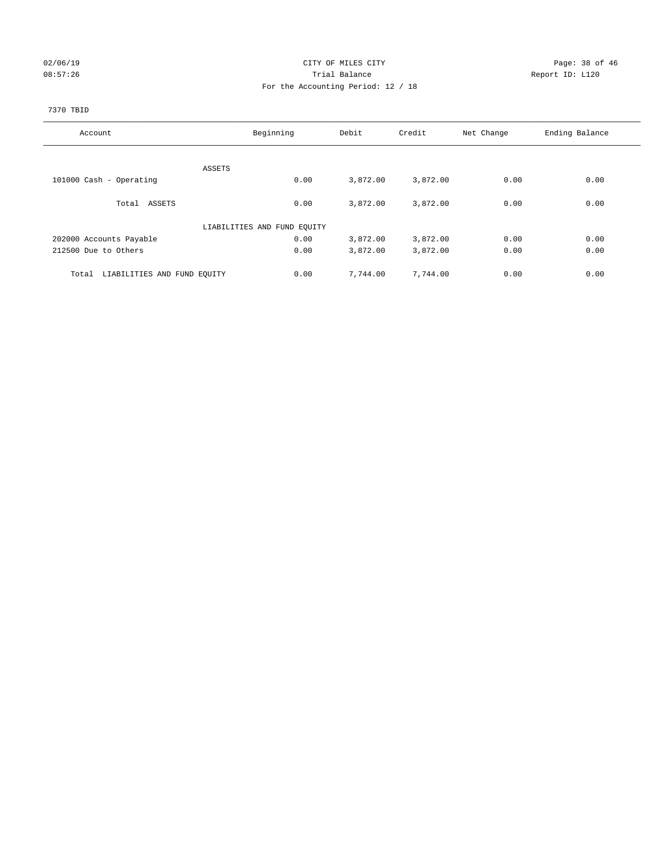## $O2/06/19$  Page: 38 of 46 08:57:26 Trial Balance Report ID: L120 For the Accounting Period: 12 / 18

## 7370 TBID

| Account                              | Beginning                   | Debit    | Credit   | Net Change | Ending Balance |
|--------------------------------------|-----------------------------|----------|----------|------------|----------------|
|                                      |                             |          |          |            |                |
|                                      | ASSETS                      |          |          |            |                |
| 101000 Cash - Operating              | 0.00                        | 3,872.00 | 3,872.00 | 0.00       | 0.00           |
| Total ASSETS                         | 0.00                        | 3,872.00 | 3,872.00 | 0.00       | 0.00           |
|                                      | LIABILITIES AND FUND EQUITY |          |          |            |                |
| 202000 Accounts Payable              | 0.00                        | 3,872.00 | 3,872.00 | 0.00       | 0.00           |
| 212500 Due to Others                 | 0.00                        | 3,872.00 | 3,872.00 | 0.00       | 0.00           |
| LIABILITIES AND FUND EQUITY<br>Total | 0.00                        | 7,744.00 | 7,744.00 | 0.00       | 0.00           |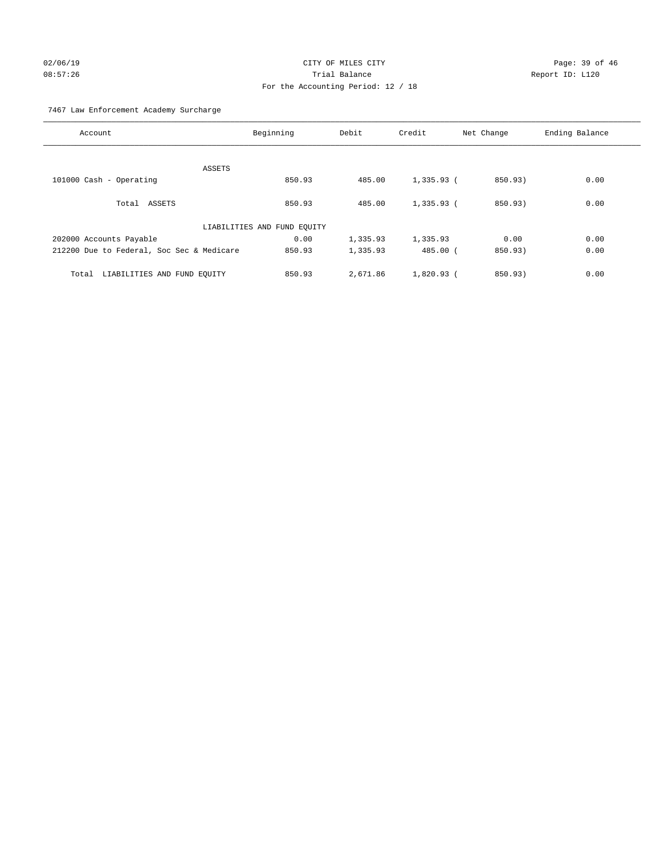# $O2/06/19$  Page: 39 of 46 08:57:26 Trial Balance Report ID: L120 For the Accounting Period: 12 / 18

7467 Law Enforcement Academy Surcharge

| Account                                   | Beginning                   | Debit    | Credit       | Net Change | Ending Balance |
|-------------------------------------------|-----------------------------|----------|--------------|------------|----------------|
|                                           |                             |          |              |            |                |
| ASSETS                                    |                             |          |              |            |                |
| 101000 Cash - Operating                   | 850.93                      | 485.00   | $1,335.93$ ( | 850.93)    | 0.00           |
| Total ASSETS                              | 850.93                      | 485.00   | $1,335.93$ ( | 850.93)    | 0.00           |
|                                           | LIABILITIES AND FUND EQUITY |          |              |            |                |
| 202000 Accounts Payable                   | 0.00                        | 1,335.93 | 1,335.93     | 0.00       | 0.00           |
| 212200 Due to Federal, Soc Sec & Medicare | 850.93                      | 1,335.93 | $485.00$ (   | 850.93)    | 0.00           |
| LIABILITIES AND FUND EQUITY<br>Total      | 850.93                      | 2,671.86 | $1,820.93$ ( | 850.93)    | 0.00           |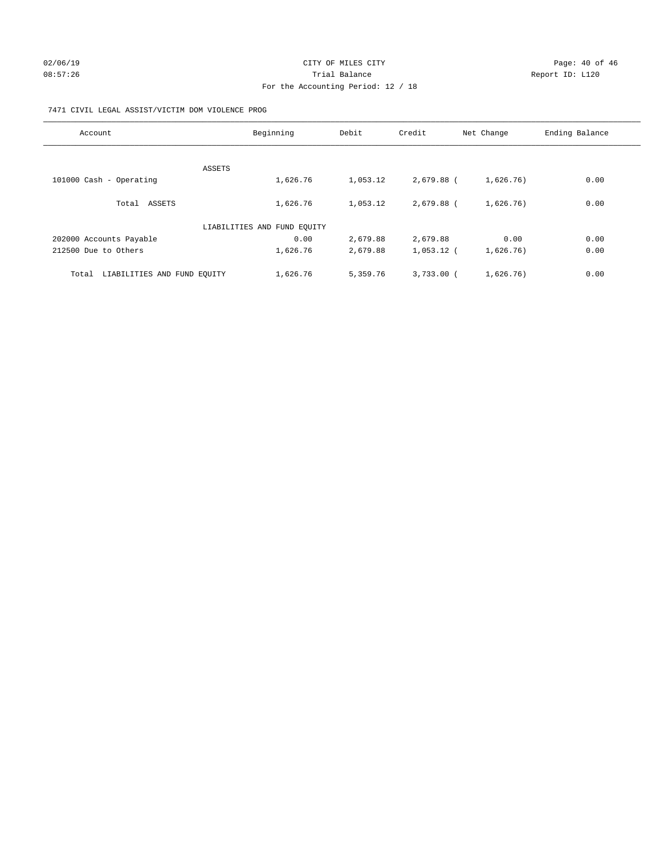# $O2/06/19$  Page: 40 of 46 08:57:26 Report ID: L120 For the Accounting Period: 12 / 18

## 7471 CIVIL LEGAL ASSIST/VICTIM DOM VIOLENCE PROG

| Account                              | Beginning                   | Debit    | Credit       | Net Change | Ending Balance |
|--------------------------------------|-----------------------------|----------|--------------|------------|----------------|
|                                      |                             |          |              |            |                |
|                                      | ASSETS                      |          |              |            |                |
| 101000 Cash - Operating              | 1,626.76                    | 1,053.12 | 2,679.88 (   | 1,626.76)  | 0.00           |
| Total ASSETS                         | 1,626.76                    | 1,053.12 | $2.679.88$ ( | 1,626.76)  | 0.00           |
|                                      | LIABILITIES AND FUND EQUITY |          |              |            |                |
| 202000 Accounts Payable              | 0.00                        | 2,679.88 | 2,679.88     | 0.00       | 0.00           |
| 212500 Due to Others                 | 1,626.76                    | 2,679.88 | $1,053.12$ ( | 1,626.76)  | 0.00           |
| LIABILITIES AND FUND EQUITY<br>Total | 1,626.76                    | 5,359.76 | $3,733.00$ ( | 1,626.76)  | 0.00           |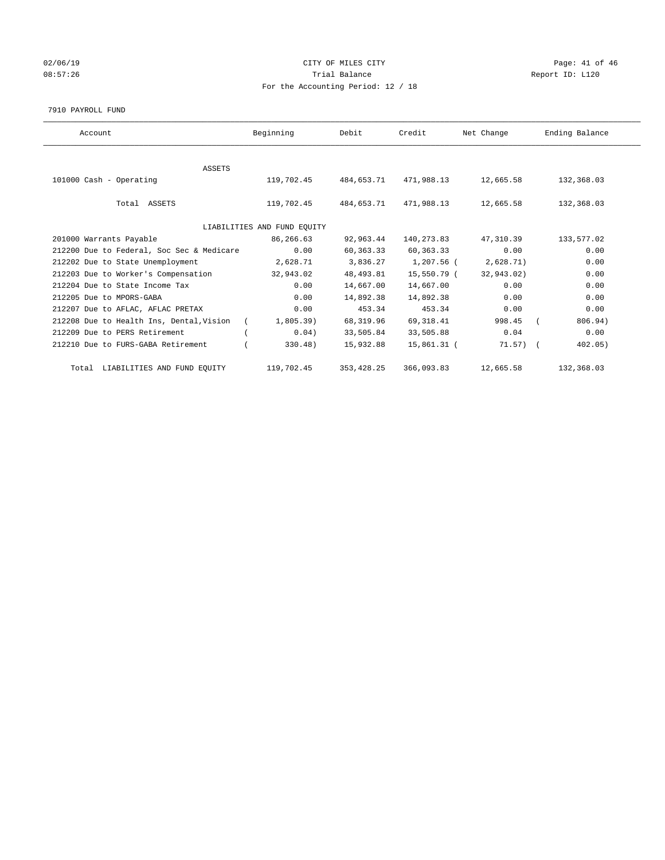## $O2/06/19$  Page: 41 of 46 08:57:26 Report ID: L120 For the Accounting Period: 12 / 18

#### 7910 PAYROLL FUND

| Account                                   | Beginning                   | Debit       | Credit      | Net Change | Ending Balance |
|-------------------------------------------|-----------------------------|-------------|-------------|------------|----------------|
|                                           |                             |             |             |            |                |
| <b>ASSETS</b>                             |                             |             |             |            |                |
| 101000 Cash - Operating                   | 119,702.45                  | 484,653.71  | 471,988.13  | 12,665.58  | 132,368.03     |
|                                           |                             |             |             |            |                |
| Total ASSETS                              | 119,702.45                  | 484,653.71  | 471,988.13  | 12,665.58  | 132,368.03     |
|                                           |                             |             |             |            |                |
|                                           | LIABILITIES AND FUND EQUITY |             |             |            |                |
| 201000 Warrants Payable                   | 86,266.63                   | 92,963.44   | 140,273.83  | 47,310.39  | 133,577.02     |
| 212200 Due to Federal, Soc Sec & Medicare | 0.00                        | 60,363.33   | 60,363.33   | 0.00       | 0.00           |
| 212202 Due to State Unemployment          | 2,628.71                    | 3,836.27    | 1,207.56 (  | 2,628.71)  | 0.00           |
| 212203 Due to Worker's Compensation       | 32,943.02                   | 48,493.81   | 15,550.79 ( | 32,943.02) | 0.00           |
| 212204 Due to State Income Tax            | 0.00                        | 14,667.00   | 14,667.00   | 0.00       | 0.00           |
| 212205 Due to MPORS-GABA                  | 0.00                        | 14,892.38   | 14,892.38   | 0.00       | 0.00           |
| 212207 Due to AFLAC, AFLAC PRETAX         | 0.00                        | 453.34      | 453.34      | 0.00       | 0.00           |
| 212208 Due to Health Ins, Dental, Vision  | $1,805.39$ )<br>$\sqrt{2}$  | 68,319.96   | 69,318.41   | 998.45     | 806.94)        |
| 212209 Due to PERS Retirement             | 0.04)                       | 33,505.84   | 33,505.88   | 0.04       | 0.00           |
| 212210 Due to FURS-GABA Retirement        | 330.48)                     | 15,932.88   | 15,861.31 ( | $71.57)$ ( | 402.05)        |
| Total LIABILITIES AND FUND EQUITY         | 119,702.45                  | 353, 428.25 | 366,093.83  | 12,665.58  | 132,368.03     |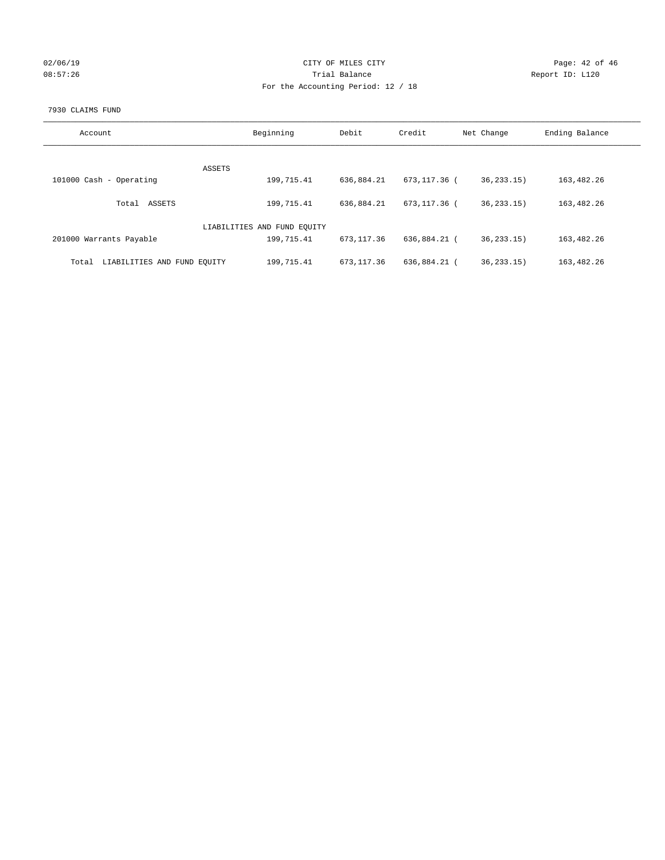| 02/06/19 |  |
|----------|--|
| 08:57:26 |  |

## CITY OF MILES CITY CONTROL CONTROL CONTROL CITY CONTROL Page: 42 of 46 08:57:26 Report ID: L120 For the Accounting Period: 12 / 18

#### 7930 CLAIMS FUND

| Account                              | Beginning                   | Debit       | Credit       | Net Change   | Ending Balance |
|--------------------------------------|-----------------------------|-------------|--------------|--------------|----------------|
|                                      |                             |             |              |              |                |
|                                      | ASSETS                      |             |              |              |                |
| 101000 Cash - Operating              | 199,715.41                  | 636,884.21  | 673,117.36 ( | 36, 233, 15) | 163,482.26     |
| ASSETS<br>Total                      | 199,715.41                  | 636,884.21  | 673,117.36 ( | 36, 233. 15) | 163, 482. 26   |
|                                      | LIABILITIES AND FUND EQUITY |             |              |              |                |
| 201000 Warrants Payable              | 199,715.41                  | 673, 117.36 | 636,884.21 ( | 36, 233.15)  | 163, 482. 26   |
| LIABILITIES AND FUND EOUITY<br>Total | 199,715.41                  | 673, 117.36 | 636,884.21 ( | 36, 233. 15) | 163, 482. 26   |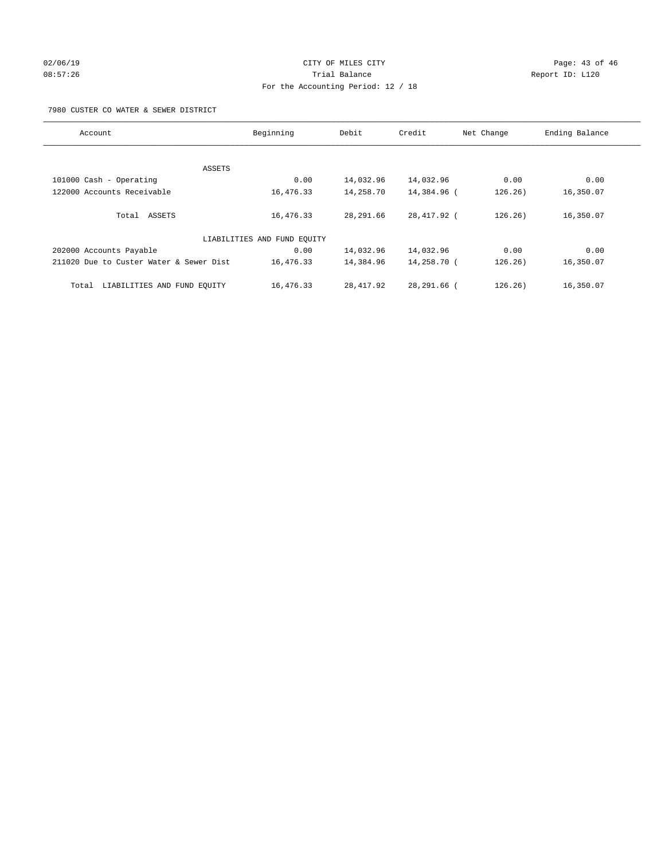## $O2/06/19$  Page: 43 of 46 08:57:26 Trial Balance Report ID: L120 For the Accounting Period: 12 / 18

7980 CUSTER CO WATER & SEWER DISTRICT

| Account                                 | Beginning                   | Debit      | Credit      | Net Change | Ending Balance |
|-----------------------------------------|-----------------------------|------------|-------------|------------|----------------|
|                                         |                             |            |             |            |                |
| ASSETS                                  |                             |            |             |            |                |
| 101000 Cash - Operating                 | 0.00                        | 14,032.96  | 14,032.96   | 0.00       | 0.00           |
| 122000 Accounts Receivable              | 16,476.33                   | 14,258.70  | 14,384.96 ( | 126.26)    | 16,350.07      |
| Total ASSETS                            | 16,476.33                   | 28,291.66  | 28,417.92 ( | 126.26)    | 16,350.07      |
|                                         | LIABILITIES AND FUND EQUITY |            |             |            |                |
| 202000 Accounts Payable                 | 0.00                        | 14,032.96  | 14,032.96   | 0.00       | 0.00           |
| 211020 Due to Custer Water & Sewer Dist | 16,476.33                   | 14,384.96  | 14,258.70 ( | 126.26)    | 16,350.07      |
| LIABILITIES AND FUND EQUITY<br>Total    | 16,476.33                   | 28, 417.92 | 28,291.66 ( | 126.26)    | 16,350.07      |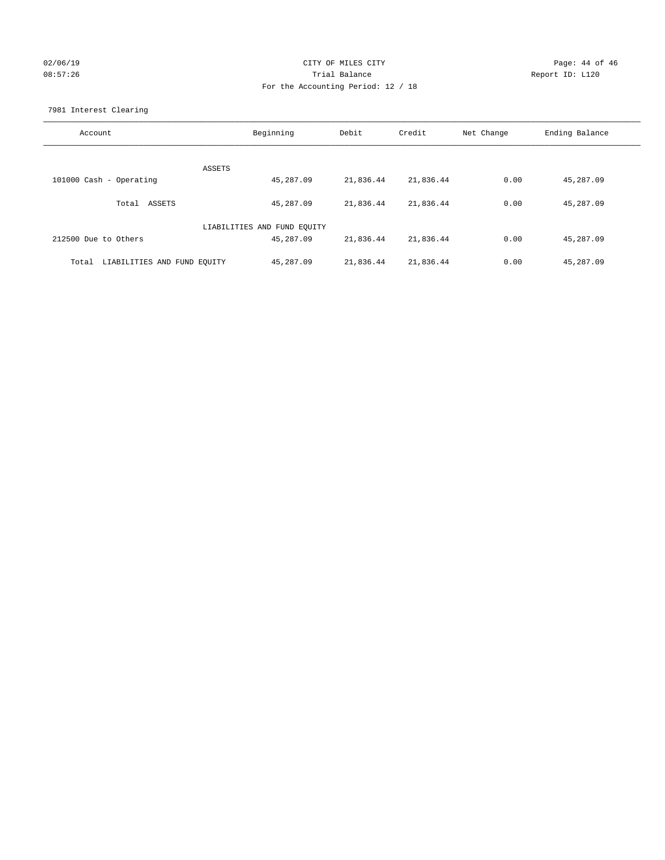## $O2/06/19$  Page: 44 of 46 08:57:26 Trial Balance Report ID: L120 For the Accounting Period: 12 / 18

7981 Interest Clearing

| Account                              | Beginning                   | Debit     | Credit    | Net Change | Ending Balance |
|--------------------------------------|-----------------------------|-----------|-----------|------------|----------------|
|                                      | ASSETS                      |           |           |            |                |
| 101000 Cash - Operating              | 45,287.09                   | 21,836.44 | 21,836.44 | 0.00       | 45,287.09      |
| Total ASSETS                         | 45,287.09                   | 21,836.44 | 21,836.44 | 0.00       | 45,287.09      |
|                                      | LIABILITIES AND FUND EQUITY |           |           |            |                |
| 212500 Due to Others                 | 45,287.09                   | 21,836.44 | 21,836.44 | 0.00       | 45,287.09      |
| LIABILITIES AND FUND EQUITY<br>Total | 45,287.09                   | 21,836.44 | 21,836.44 | 0.00       | 45,287.09      |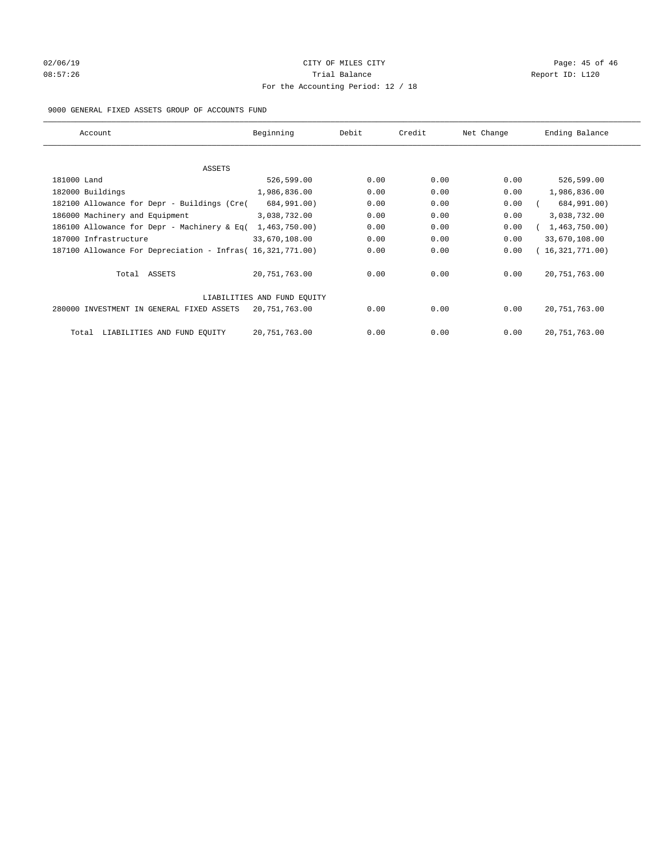# $O2/06/19$  Page: 45 of 46 08:57:26 Report ID: L120 For the Accounting Period: 12 / 18

## 9000 GENERAL FIXED ASSETS GROUP OF ACCOUNTS FUND

| Account                                                    | Beginning                   | Debit | Credit | Net Change | Ending Balance  |
|------------------------------------------------------------|-----------------------------|-------|--------|------------|-----------------|
| ASSETS                                                     |                             |       |        |            |                 |
| 181000 Land                                                | 526,599.00                  | 0.00  | 0.00   | 0.00       | 526,599.00      |
| 182000 Buildings                                           | 1,986,836.00                | 0.00  | 0.00   | 0.00       | 1,986,836.00    |
| 182100 Allowance for Depr - Buildings (Cre(                | 684,991.00)                 | 0.00  | 0.00   | 0.00       | 684,991.00)     |
| 186000 Machinery and Equipment                             | 3,038,732.00                | 0.00  | 0.00   | 0.00       | 3,038,732.00    |
| 186100 Allowance for Depr - Machinery & Eq(                | 1,463,750.00                | 0.00  | 0.00   | 0.00       | 1,463,750.00    |
| 187000 Infrastructure                                      | 33,670,108.00               | 0.00  | 0.00   | 0.00       | 33,670,108.00   |
| 187100 Allowance For Depreciation - Infras( 16,321,771.00) |                             | 0.00  | 0.00   | 0.00       | 16,321,771.00)  |
| Total ASSETS                                               | 20, 751, 763.00             | 0.00  | 0.00   | 0.00       | 20, 751, 763.00 |
|                                                            | LIABILITIES AND FUND EQUITY |       |        |            |                 |
| 280000 INVESTMENT IN GENERAL FIXED ASSETS                  | 20, 751, 763.00             | 0.00  | 0.00   | 0.00       | 20, 751, 763.00 |
| LIABILITIES AND FUND EQUITY<br>Total                       | 20, 751, 763.00             | 0.00  | 0.00   | 0.00       | 20, 751, 763.00 |